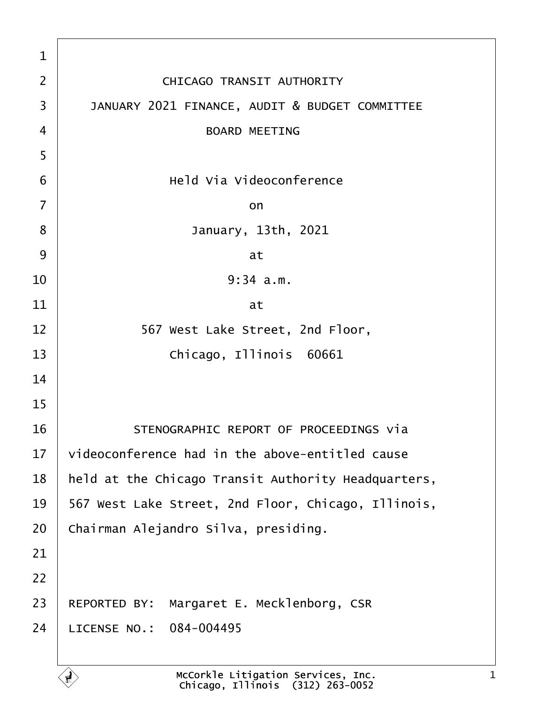| 1              |                                                     |
|----------------|-----------------------------------------------------|
| $\overline{2}$ | <b>CHICAGO TRANSIT AUTHORITY</b>                    |
| 3              | JANUARY 2021 FINANCE, AUDIT & BUDGET COMMITTEE      |
| 4              | <b>BOARD MEETING</b>                                |
| 5              |                                                     |
| 6              | <b>Held Via Videoconference</b>                     |
| $\overline{7}$ | on                                                  |
| 8              | January, 13th, 2021                                 |
| 9              | at                                                  |
| 10             | $9:34$ a.m.                                         |
| 11             | at                                                  |
| 12             | 567 West Lake Street, 2nd Floor,                    |
| 13             | Chicago, Illinois 60661                             |
| 14             |                                                     |
| 15             |                                                     |
| 16             | STENOGRAPHIC REPORT OF PROCEEDINGS via              |
| 17             | videoconference had in the above-entitled cause     |
| 18             | held at the Chicago Transit Authority Headquarters, |
| 19             | 567 West Lake Street, 2nd Floor, Chicago, Illinois, |
| 20             | Chairman Alejandro Silva, presiding.                |
| 21             |                                                     |
| 22             |                                                     |
| 23             | REPORTED BY: Margaret E. Mecklenborg, CSR           |
| 24             | LICENSE NO.: 084-004495                             |
|                |                                                     |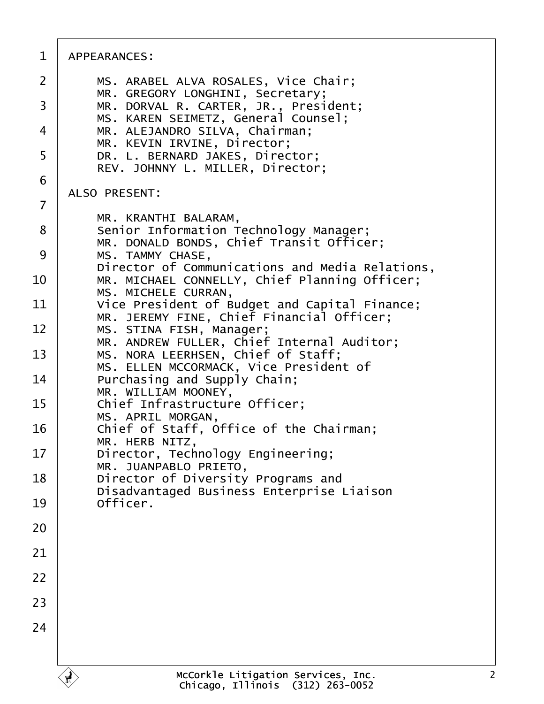| 1  | APPEARANCES:                                                                                     |
|----|--------------------------------------------------------------------------------------------------|
| 2  | MS. ARABEL ALVA ROSALES, Vice Chair;                                                             |
| 3  | MR. GREGORY LONGHINI, Secretary;<br>MR. DORVAL R. CARTER, JR., President;                        |
| 4  | MS. KAREN SEIMETZ, General Counsel;<br>MR. ALEJANDRO SILVA, Chairman;                            |
| 5  | MR. KEVIN IRVINE, Director;<br>DR. L. BERNARD JAKES, Director;                                   |
| 6  | REV. JOHNNY L. MILLER, Director;                                                                 |
| 7  | <b>ALSO PRESENT:</b>                                                                             |
| 8  | MR. KRANTHI BALARAM,<br>Senior Information Technology Manager;                                   |
| 9  | MR. DONALD BONDS, Chief Transit Officer;<br>MS. TAMMY CHASE,                                     |
| 10 | Director of Communications and Media Relations,<br>MR. MICHAEL CONNELLY, Chief Planning Officer; |
| 11 | MS. MICHELE CURRAN,<br>Vice President of Budget and Capital Finance;                             |
| 12 | MR. JEREMY FINE, Chief Financial Officer;<br>MS. STINA FISH, Manager;                            |
| 13 | MR. ANDREW FULLER, Chief Internal Auditor;<br>MS. NORA LEERHSEN, Chief of Staff;                 |
| 14 | MS. ELLEN MCCORMACK, Vice President of<br>Purchasing and Supply Chain;                           |
| 15 | MR. WILLIAM MOONEY,<br>Chief Infrastructure Officer;                                             |
| 16 | MS. APRIL MORGAN,<br>Chief of Staff, Office of the Chairman;                                     |
| 17 | MR. HERB NITZ<br>Director, Technology Engineering;                                               |
| 18 | MR. JUANPABLO PRIETO,<br>Director of Diversity Programs and                                      |
| 19 | Disadvantaged Business Enterprise Liaison<br>Officer.                                            |
| 20 |                                                                                                  |
| 21 |                                                                                                  |
| 22 |                                                                                                  |
| 23 |                                                                                                  |
| 24 |                                                                                                  |
|    |                                                                                                  |
|    |                                                                                                  |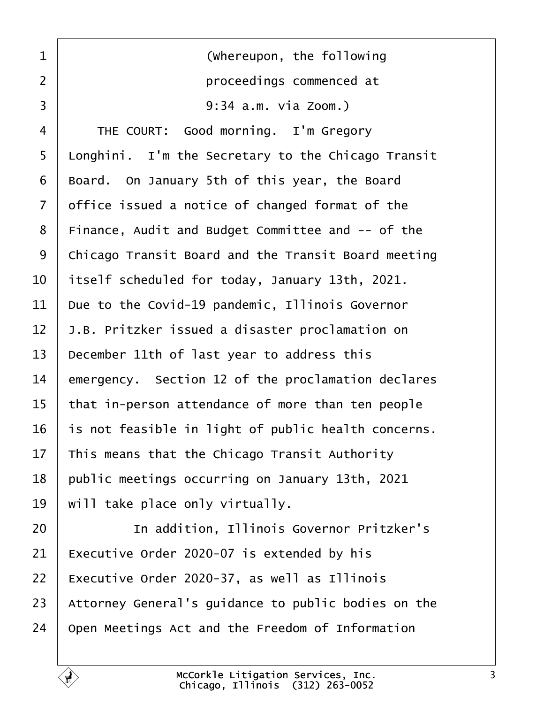<span id="page-2-0"></span>

| 1              | (Whereupon, the following                              |
|----------------|--------------------------------------------------------|
| $\overline{2}$ | proceedings commenced at                               |
| 3              | 9:34 a.m. via Zoom.)                                   |
| 4              | THE COURT: Good morning. I'm Gregory                   |
| 5              | Longhini. I'm the Secretary to the Chicago Transit     |
| 6              | Board. On January 5th of this year, the Board          |
| 7              | office issued a notice of changed format of the        |
| 8              | Finance, Audit and Budget Committee and -- of the      |
| 9              | Chicago Transit Board and the Transit Board meeting    |
| 10             | itself scheduled for today, January 13th, 2021.        |
| 11             | Due to the Covid-19 pandemic, Illinois Governor        |
| 12             | <b>J.B. Pritzker issued a disaster proclamation on</b> |
| 13             | December 11th of last year to address this             |
| 14             | emergency. Section 12 of the proclamation declares     |
| 15             | that in-person attendance of more than ten people      |
| 16             | is not feasible in light of public health concerns.    |
| 17             | This means that the Chicago Transit Authority          |
| 18             | public meetings occurring on January 13th, 2021        |
| 19             | will take place only virtually.                        |
| 20             | In addition, Illinois Governor Pritzker's              |
| 21             | Executive Order 2020-07 is extended by his             |
| 22             | Executive Order 2020-37, as well as Illinois           |
| 23             | Attorney General's guidance to public bodies on the    |
| 24             | Open Meetings Act and the Freedom of Information       |
|                |                                                        |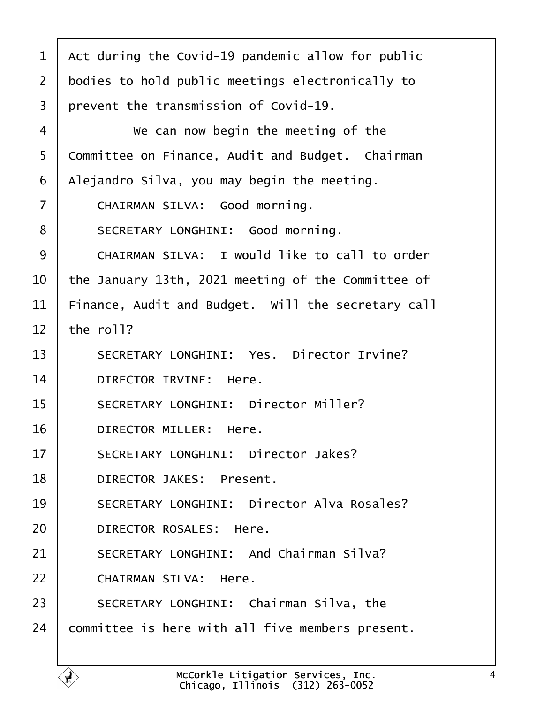<span id="page-3-0"></span>

| 1              | Act during the Covid-19 pandemic allow for public  |
|----------------|----------------------------------------------------|
|                |                                                    |
| 2              | bodies to hold public meetings electronically to   |
| 3              | prevent the transmission of Covid-19.              |
| 4              | We can now begin the meeting of the                |
| 5              | Committee on Finance, Audit and Budget. Chairman   |
| 6              | Alejandro Silva, you may begin the meeting.        |
| $\overline{7}$ | CHAIRMAN SILVA: Good morning.                      |
| 8              | SECRETARY LONGHINI: Good morning.                  |
| 9              | CHAIRMAN SILVA: I would like to call to order      |
| 10             | the January 13th, 2021 meeting of the Committee of |
| 11             | Finance, Audit and Budget. Will the secretary call |
| 12             | the roll?                                          |
| 13             | <b>SECRETARY LONGHINI: Yes. Director Irvine?</b>   |
| 14             | DIRECTOR IRVINE: Here.                             |
| 15             | <b>SECRETARY LONGHINI: Director Miller?</b>        |
| 16             | DIRECTOR MILLER: Here.                             |
| 17             | <b>SECRETARY LONGHINI: Director Jakes?</b>         |
| 18             | <b>DIRECTOR JAKES: Present.</b>                    |
| 19             | <b>SECRETARY LONGHINI: Director Alva Rosales?</b>  |
| 20             | <b>DIRECTOR ROSALES: Here.</b>                     |
| 21             | <b>SECRETARY LONGHINI: And Chairman Silva?</b>     |
| 22             | <b>CHAIRMAN SILVA: Here.</b>                       |
| 23             | SECRETARY LONGHINI: Chairman Silva, the            |
| 24             | committee is here with all five members present.   |
|                |                                                    |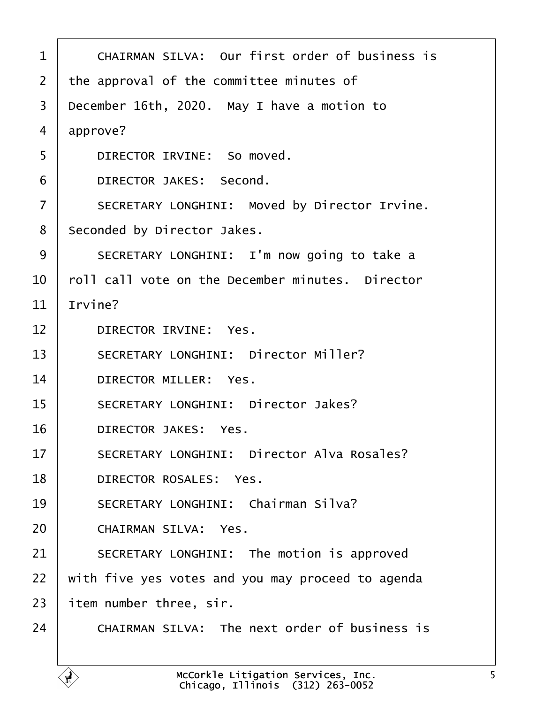<span id="page-4-0"></span>

| 1              | CHAIRMAN SILVA: Our first order of business is       |
|----------------|------------------------------------------------------|
| 2              | the approval of the committee minutes of             |
| 3              | December 16th, 2020. May I have a motion to          |
| 4              | approve?                                             |
| 5              | DIRECTOR IRVINE: So moved.                           |
| 6              | DIRECTOR JAKES: Second.                              |
| $\overline{7}$ | <b>SECRETARY LONGHINI: Moved by Director Irvine.</b> |
|                |                                                      |
| 8              | Seconded by Director Jakes.                          |
| 9              | SECRETARY LONGHINI: I'm now going to take a          |
| 10             | foll call vote on the December minutes. Director     |
| 11             | rvine?                                               |
| 12             | <b>DIRECTOR IRVINE: Yes.</b>                         |
| 13             | <b>SECRETARY LONGHINI: Director Miller?</b>          |
| 14             | <b>DIRECTOR MILLER: Yes.</b>                         |
| 15             | <b>SECRETARY LONGHINI: Director Jakes?</b>           |
| 16             | <b>DIRECTOR JAKES: Yes.</b>                          |
| 17             | <b>SECRETARY LONGHINI: Director Alva Rosales?</b>    |
| 18             | <b>DIRECTOR ROSALES: Yes.</b>                        |
| 19             | <b>SECRETARY LONGHINI: Chairman Silva?</b>           |
| 20             | <b>CHAIRMAN SILVA: Yes.</b>                          |
| 21             | SECRETARY LONGHINI: The motion is approved           |
| 22             | with five yes votes and you may proceed to agenda    |
| 23             | item number three, sir.                              |
| 24             | <b>CHAIRMAN SILVA: The next order of business is</b> |
|                |                                                      |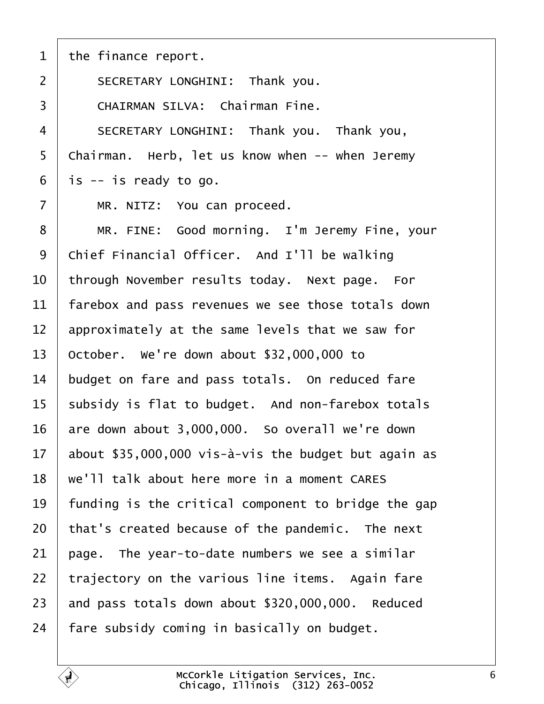<span id="page-5-0"></span>

| 1              | the finance report.                                  |
|----------------|------------------------------------------------------|
| $\overline{2}$ | SECRETARY LONGHINI: Thank you.                       |
| 3              | <b>CHAIRMAN SILVA: Chairman Fine.</b>                |
| 4              | SECRETARY LONGHINI: Thank you. Thank you,            |
| 5              | Chairman. Herb, let us know when -- when Jeremy      |
| 6              | i\$ -- is ready to go.                               |
| $\overline{7}$ | MR. NITZ: You can proceed.                           |
| 8              | MR. FINE: Good morning. I'm Jeremy Fine, your        |
| 9              | Chief Financial Officer. And I'll be walking         |
| 10             | through November results today. Next page. For       |
| 11             | farebox and pass revenues we see those totals down   |
| 12             | approximately at the same levels that we saw for     |
| 13             | October. We're down about \$32,000,000 to            |
| 14             | budget on fare and pass totals. On reduced fare      |
| 15             | subsidy is flat to budget. And non-farebox totals    |
| 16             | are down about 3,000,000. So overall we're down      |
| 17             | about \$35,000,000 vis-à-vis the budget but again as |
| 18             | we'll talk about here more in a moment CARES         |
| 19             | funding is the critical component to bridge the gap  |
| 20             | that's created because of the pandemic. The next     |
| 21             | page. The year-to-date numbers we see a similar      |
| 22             | trajectory on the various line items. Again fare     |
| 23             | and pass totals down about \$320,000,000. Reduced    |
| 24             | fare subsidy coming in basically on budget.          |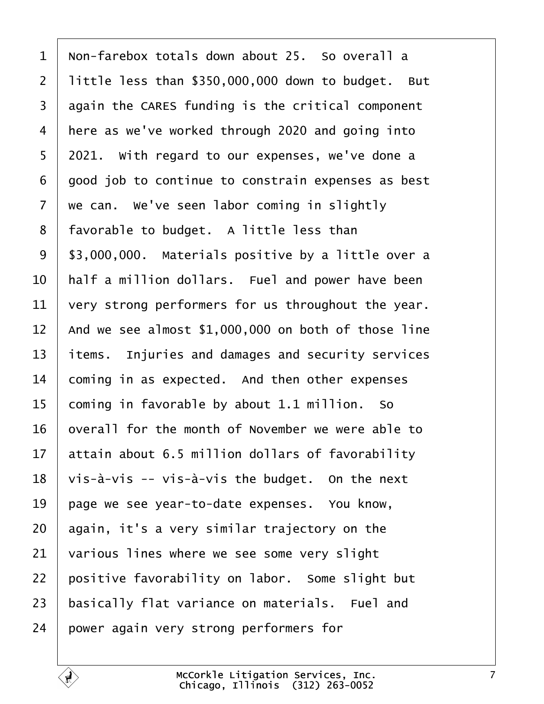<span id="page-6-0"></span>

| $\mathbf 1$    | Non-farebox totals down about 25. So overall a      |
|----------------|-----------------------------------------------------|
| $\overline{2}$ | little less than \$350,000,000 down to budget. But  |
| 3              | again the CARES funding is the critical component   |
| 4              | here as we've worked through 2020 and going into    |
| 5              | 2021. With regard to our expenses, we've done a     |
| 6              | good job to continue to constrain expenses as best  |
| $\overline{7}$ | we can. We've seen labor coming in slightly         |
| 8              | favorable to budget. A little less than             |
| 9              | \$3,000,000. Materials positive by a little over a  |
| 10             | half a million dollars. Fuel and power have been    |
| 11             | very strong performers for us throughout the year.  |
| 12             | And we see almost \$1,000,000 on both of those line |
| 13             | items. Injuries and damages and security services   |
| 14             | coming in as expected. And then other expenses      |
| 15             | coming in favorable by about 1.1 million. So        |
| 16             | overall for the month of November we were able to   |
|                | 17 attain about 6.5 million dollars of favorability |
| 18             | vis-à-vis -- vis-à-vis the budget. On the next      |
| 19             | page we see year-to-date expenses. You know,        |
| 20             | again, it's a very similar trajectory on the        |
| 21             | various lines where we see some very slight         |
| 22             | positive favorability on labor. Some slight but     |
| 23             | basically flat variance on materials. Fuel and      |
| 24             | power again very strong performers for              |
|                |                                                     |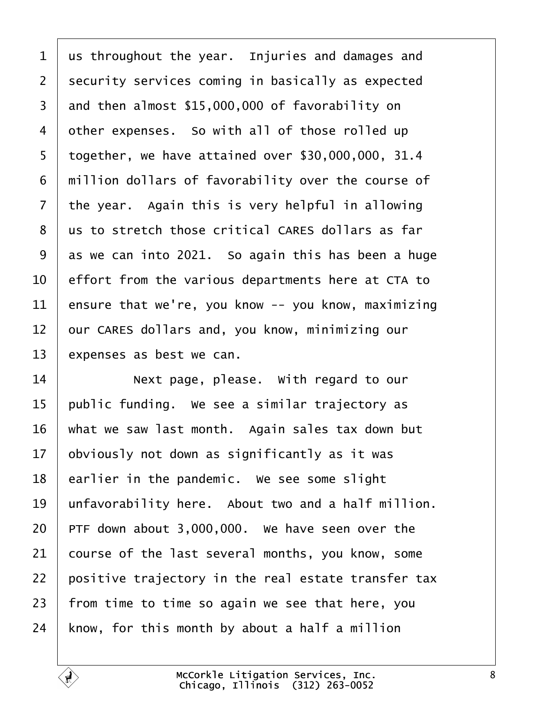<span id="page-7-0"></span>

| us throughout the year. Injuries and damages and    |
|-----------------------------------------------------|
| security services coming in basically as expected   |
| and then almost \$15,000,000 of favorability on     |
| other expenses. So with all of those rolled up      |
| together, we have attained over \$30,000,000, 31.4  |
| million dollars of favorability over the course of  |
| the year. Again this is very helpful in allowing    |
| us to stretch those critical CARES dollars as far   |
| as we can into 2021. So again this has been a huge  |
| effort from the various departments here at CTA to  |
| ensure that we're, you know -- you know, maximizing |
| bur CARES dollars and, you know, minimizing our     |
| expenses as best we can.                            |
| Next page, please. With regard to our               |
| public funding. We see a similar trajectory as      |
| what we saw last month. Again sales tax down but    |
| obviously not down as significantly as it was       |
| earlier in the pandemic. We see some slight         |
| unfavorability here. About two and a half million.  |
| PTF down about 3,000,000. We have seen over the     |
| course of the last several months, you know, some   |
| positive trajectory in the real estate transfer tax |
| from time to time so again we see that here, you    |
|                                                     |
|                                                     |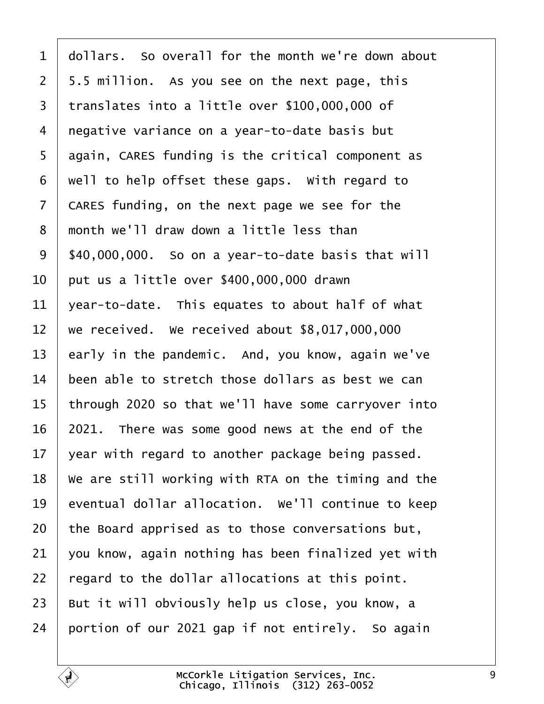- <span id="page-8-0"></span>1 dollars. So overall for the month we're down about
- 2 5.5 million. As you see on the next page, this
- 3 translates into a little over \$100,000,000 of
- 4 negative variance on a year-to-date basis but
- 5 again, CARES funding is the critical component as
- 6 well to help offset these gaps. With regard to
- 7 CARES funding, on the next page we see for the
- 8 month we'll draw down a little less than
- 9  $$40,000,000$ . So on a year-to-date basis that will
- 10  $\mu$  but us a little over \$400,000,000 drawn
- 11  $\sqrt{2}$  vear-to-date. This equates to about half of what
- 12 we received. We received about \$8,017,000,000
- 13 early in the pandemic. And, you know, again we've
- 14 been able to stretch those dollars as best we can
- 15 through 2020 so that we'll have some carryover into
- 16 2021. There was some good news at the end of the
- 17  $\sqrt{2}$  vear with regard to another package being passed.
- 18 We are still working with RTA on the timing and the
- 19 eventual dollar allocation. We'll continue to keep
- 20 the Board apprised as to those conversations but,
- 21  $\frac{1}{2}$  you know, again nothing has been finalized yet with
- 22  $\epsilon$  regard to the dollar allocations at this point.
- 23 But it will obviously help us close, you know, a
- 24 portion of our 2021 gap if not entirely. So again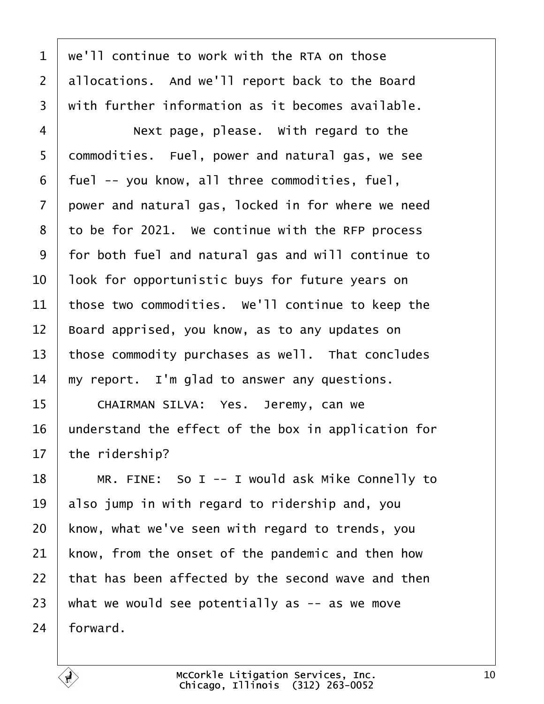<span id="page-9-0"></span>

| $\mathbf 1$    | we'll continue to work with the RTA on those        |
|----------------|-----------------------------------------------------|
| $\overline{2}$ | allocations. And we'll report back to the Board     |
| 3              | with further information as it becomes available.   |
| $\overline{4}$ | Next page, please. With regard to the               |
| 5              | dommodities. Fuel, power and natural gas, we see    |
| 6              | fuel -- you know, all three commodities, fuel,      |
| $\overline{7}$ | power and natural gas, locked in for where we need  |
| 8              | to be for 2021. We continue with the RFP process    |
| 9              | for both fuel and natural gas and will continue to  |
| 10             | look for opportunistic buys for future years on     |
| 11             | those two commodities. We'll continue to keep the   |
| 12             | Board apprised, you know, as to any updates on      |
| 13             | those commodity purchases as well. That concludes   |
| 14             | my report. I'm glad to answer any questions.        |
| 15             | CHAIRMAN SILVA: Yes. Jeremy, can we                 |
| 16             | understand the effect of the box in application for |
| 17             | the ridership?                                      |
| 18             | MR. FINE: So I -- I would ask Mike Connelly to      |
| 19             | also jump in with regard to ridership and, you      |
| 20             | know, what we've seen with regard to trends, you    |
| 21             | know, from the onset of the pandemic and then how   |
| 22             | that has been affected by the second wave and then  |
| 23             | what we would see potentially as -- as we move      |
| 24             | forward.                                            |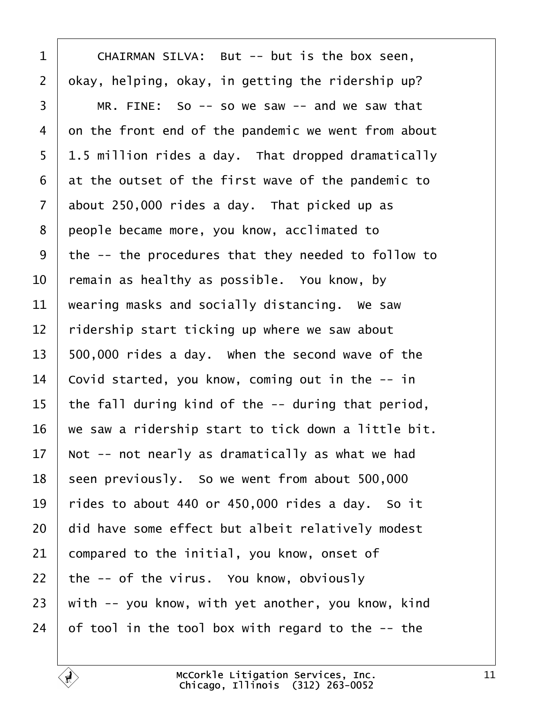<span id="page-10-0"></span>

| 1              | CHAIRMAN SILVA: But -- but is the box seen,         |
|----------------|-----------------------------------------------------|
| $\overline{2}$ | okay, helping, okay, in getting the ridership up?   |
| 3              | MR. FINE: So -- so we saw -- and we saw that        |
| 4              | on the front end of the pandemic we went from about |
| 5              | 1.5 million rides a day. That dropped dramatically  |
| 6              | at the outset of the first wave of the pandemic to  |
| $\overline{7}$ | about 250,000 rides a day. That picked up as        |
| 8              | people became more, you know, acclimated to         |
| 9              | the -- the procedures that they needed to follow to |
| 10             | remain as healthy as possible. You know, by         |
| 11             | wearing masks and socially distancing. We saw       |
| 12             | ridership start ticking up where we saw about       |
| 13             | 500,000 rides a day. When the second wave of the    |
| 14             | Covid started, you know, coming out in the -- in    |
| 15             | the fall during kind of the -- during that period,  |
| 16             | we saw a ridership start to tick down a little bit. |
| 17             | Not -- not nearly as dramatically as what we had    |
| 18             | seen previously. So we went from about 500,000      |
| 19             | rides to about 440 or 450,000 rides a day. So it    |
| 20             | did have some effect but albeit relatively modest   |
| 21             | compared to the initial, you know, onset of         |
| 22             | the -- of the virus. You know, obviously            |
| 23             | with -- you know, with yet another, you know, kind  |
| 24             | of tool in the tool box with regard to the -- the   |
|                |                                                     |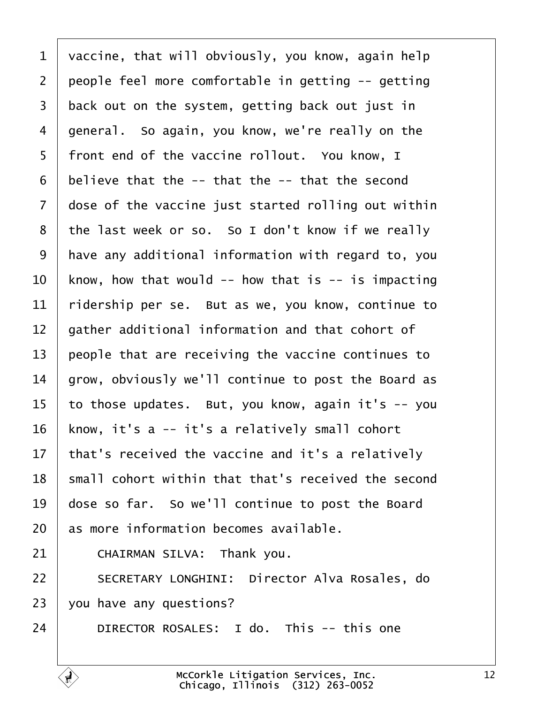<span id="page-11-0"></span>

| 1               | vaccine, that will obviously, you know, again help  |
|-----------------|-----------------------------------------------------|
| $\overline{2}$  | people feel more comfortable in getting -- getting  |
| 3               | back out on the system, getting back out just in    |
| 4               | general. So again, you know, we're really on the    |
| 5               | front end of the vaccine rollout. You know, I       |
| 6               | believe that the -- that the -- that the second     |
| $\overline{7}$  | dose of the vaccine just started rolling out within |
| 8               | the last week or so. So I don't know if we really   |
| 9               | have any additional information with regard to, you |
| 10              | know, how that would -- how that is -- is impacting |
| 11              | ridership per se. But as we, you know, continue to  |
| 12              | gather additional information and that cohort of    |
| 13              | people that are receiving the vaccine continues to  |
| 14              | grow, obviously we'll continue to post the Board as |
| 15              | to those updates. But, you know, again it's -- you  |
| 16              | know, it's a -- it's a relatively small cohort      |
| 17 <sub>1</sub> | that's received the vaccine and it's a relatively   |
| 18              | small cohort within that that's received the second |
| 19              | dose so far. So we'll continue to post the Board    |
| 20              | as more information becomes available.              |
| 21              | CHAIRMAN SILVA: Thank you.                          |
| 22              | SECRETARY LONGHINI: Director Alva Rosales, do       |
| 23              | you have any questions?                             |
| 24              | DIRECTOR ROSALES: I do. This -- this one            |
|                 |                                                     |

 $\sqrt{ }$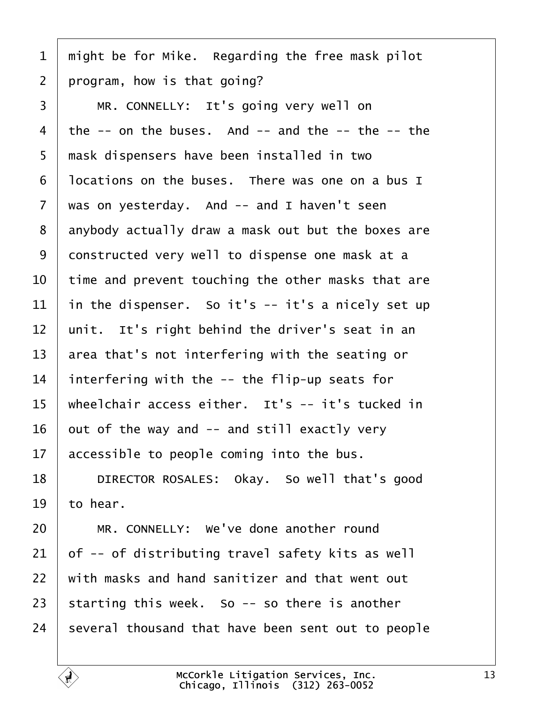<span id="page-12-0"></span>

| 1              | might be for Mike. Regarding the free mask pilot      |
|----------------|-------------------------------------------------------|
| $\overline{2}$ | program, how is that going?                           |
| 3              | MR. CONNELLY: It's going very well on                 |
| 4              | the $-$ on the buses. And $-$ and the $-$ the $-$ the |
| 5              | mask dispensers have been installed in two            |
| 6              | Incations on the buses. There was one on a bus I      |
| $\overline{7}$ | was on yesterday. And -- and I haven't seen           |
| 8              | anybody actually draw a mask out but the boxes are    |
| 9              | donstructed very well to dispense one mask at a       |
| 10             | time and prevent touching the other masks that are    |
| 11             | in the dispenser. So it's -- it's a nicely set up     |
| 12             | unit. It's right behind the driver's seat in an       |
| 13             | area that's not interfering with the seating or       |
| 14             | interfering with the -- the flip-up seats for         |
| 15             | wheelchair access either. It's -- it's tucked in      |
| 16             | but of the way and -- and still exactly very          |
| 17             | accessible to people coming into the bus.             |
| 18             | DIRECTOR ROSALES: Okay. So well that's good           |
| 19             | to hear.                                              |
| 20             | MR. CONNELLY: We've done another round                |
| 21             | of -- of distributing travel safety kits as well      |
| 22             | with masks and hand sanitizer and that went out       |
| 23             | starting this week. So -- so there is another         |
| 24             | several thousand that have been sent out to people    |
|                |                                                       |

 $\sqrt{ }$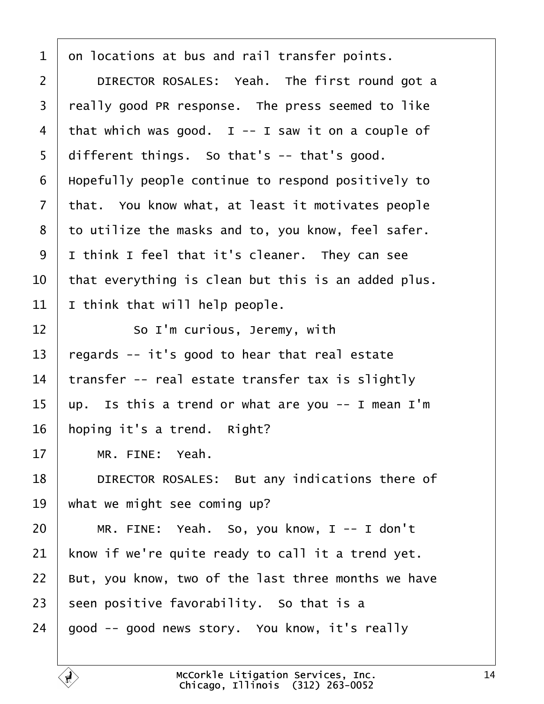<span id="page-13-0"></span>

| 1<br>on locations at bus and rail transfer points.                  |
|---------------------------------------------------------------------|
| DIRECTOR ROSALES: Yeah. The first round got a<br>$\overline{2}$     |
| 3<br>really good PR response. The press seemed to like              |
| that which was good. I -- I saw it on a couple of<br>4              |
| different things. So that's -- that's good.<br>5                    |
| Hopefully people continue to respond positively to<br>6             |
| that. You know what, at least it motivates people<br>$\overline{7}$ |
| to utilize the masks and to, you know, feel safer.<br>8             |
| 9<br>I think I feel that it's cleaner. They can see                 |
| 10<br>that everything is clean but this is an added plus.           |
| 11<br>think that will help people.                                  |
| 12<br>So I'm curious, Jeremy, with                                  |
| 13<br>regards -- it's good to hear that real estate                 |
| transfer -- real estate transfer tax is slightly<br>14              |
| up. Is this a trend or what are you -- I mean I'm<br>15             |
| 16<br>hoping it's a trend. Right?                                   |
| 17<br>MR. FINE: Yeah.                                               |
| DIRECTOR ROSALES: But any indications there of<br>18                |
| 19<br>what we might see coming up?                                  |
| 20<br>MR. FINE: Yeah. So, you know, I -- I don't                    |
| know if we're quite ready to call it a trend yet.<br>21             |
| But, you know, two of the last three months we have<br>22           |
| 23<br>seen positive favorability. So that is a                      |
| good -- good news story. You know, it's really<br>24                |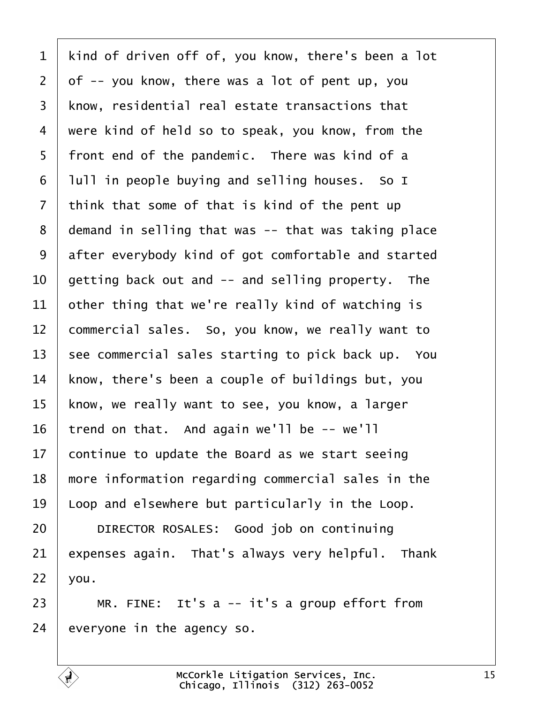<span id="page-14-0"></span>1 kind of driven off of, you know, there's been a lot 2 df -- you know, there was a lot of pent up, you 3 know, residential real estate transactions that 4 were kind of held so to speak, you know, from the 5 front end of the pandemic. There was kind of a 6 Iull in people buying and selling houses. So I 7 think that some of that is kind of the pent up 8 demand in selling that was -- that was taking place 9 after everybody kind of got comfortable and started 10 getting back out and -- and selling property. The 11 bther thing that we're really kind of watching is 12 commercial sales. So, you know, we really want to 13 see commercial sales starting to pick back up. You 14 know, there's been a couple of buildings but, you 15 know, we really want to see, you know, a larger 16 trend on that. And again we'll be -- we'll 17 continue to update the Board as we start seeing 18 more information regarding commercial sales in the 19 Loop and elsewhere but particularly in the Loop. 20 | DIRECTOR ROSALES: Good job on continuing 21 expenses again. That's always very helpful. Thank  $22$  *vou.* 23  $\parallel$  MR. FINE: It's a -- it's a group effort from

24 everyone in the agency so.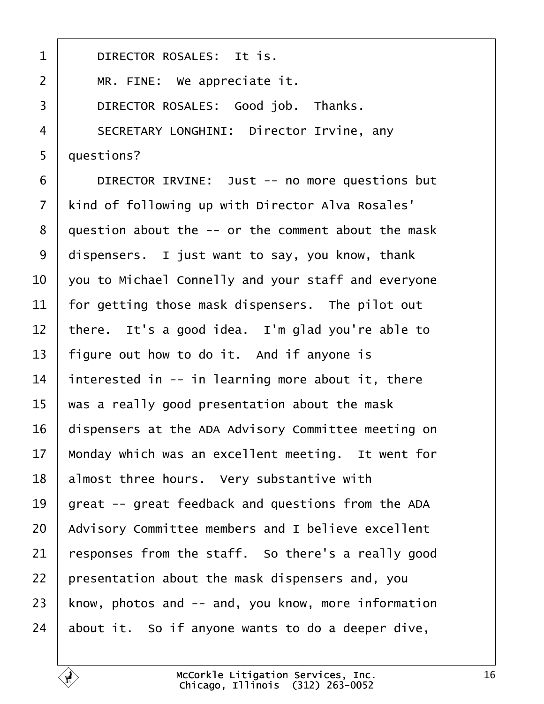<span id="page-15-0"></span>

| $\mathbf 1$    | DIRECTOR ROSALES: It is.                            |
|----------------|-----------------------------------------------------|
| $\overline{2}$ | MR. FINE: We appreciate it.                         |
| 3              | DIRECTOR ROSALES: Good job. Thanks.                 |
| 4              | <b>SECRETARY LONGHINI: Director Irvine, any</b>     |
| 5              | questions?                                          |
| 6              | DIRECTOR IRVINE: Just -- no more questions but      |
| $\overline{7}$ | kind of following up with Director Alva Rosales'    |
| 8              | question about the -- or the comment about the mask |
| 9              | dispensers. I just want to say, you know, thank     |
| 10             | you to Michael Connelly and your staff and everyone |
| 11             | for getting those mask dispensers. The pilot out    |
| 12             | there. It's a good idea. I'm glad you're able to    |
| 13             | figure out how to do it. And if anyone is           |
| 14             | interested in -- in learning more about it, there   |
| 15             | was a really good presentation about the mask       |
| 16             | dispensers at the ADA Advisory Committee meeting on |
| 17             | Monday which was an excellent meeting. It went for  |
| 18             | almost three hours. Very substantive with           |
| 19             | great -- great feedback and questions from the ADA  |
| 20             | Advisory Committee members and I believe excellent  |
| 21             | esponses from the staff. So there's a really good   |
| 22             | presentation about the mask dispensers and, you     |
| 23             | know, photos and -- and, you know, more information |
| 24             | about it. So if anyone wants to do a deeper dive,   |
|                |                                                     |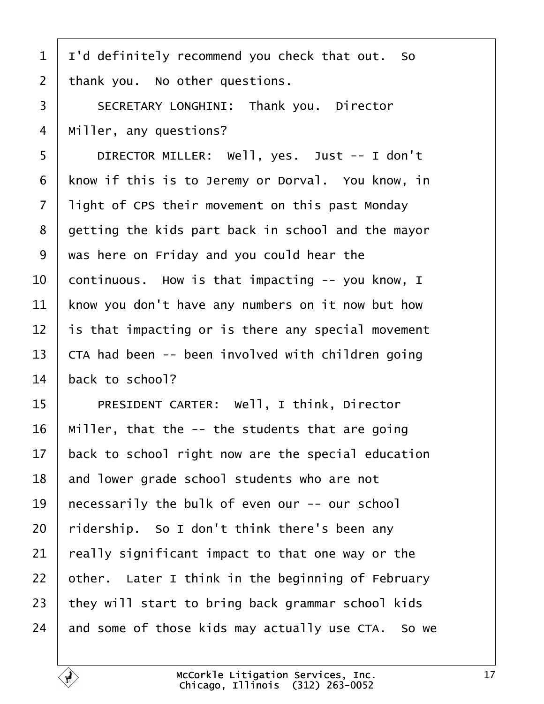- <span id="page-16-0"></span>1 I'd definitely recommend you check that out. So
- 2 thank you. No other questions.
- 3 | SECRETARY LONGHINI: Thank you. Director
- 4 Miller, any questions?
- 5 | DIRECTOR MILLER: Well, yes. Just -- I don't
- 6 know if this is to Jeremy or Dorval. You know, in
- 7 light of CPS their movement on this past Monday
- 8 getting the kids part back in school and the mayor
- ·9· ·was here on Friday and you could hear the
- 10 continuous. How is that impacting -- you know, I
- 11 know you don't have any numbers on it now but how
- 12 is that impacting or is there any special movement
- 13 CTA had been -- been involved with children going
- 14 back to school?
- 15 | PRESIDENT CARTER: Well, I think, Director
- 16 Miller, that the -- the students that are going
- 17 back to school right now are the special education
- 18 and lower grade school students who are not
- 19 hecessarily the bulk of even our -- our school
- 20 ridership. So I don't think there's been any
- 21 really significant impact to that one way or the
- 22 bther. Later I think in the beginning of February
- 23 they will start to bring back grammar school kids
- 24 and some of those kids may actually use CTA. So we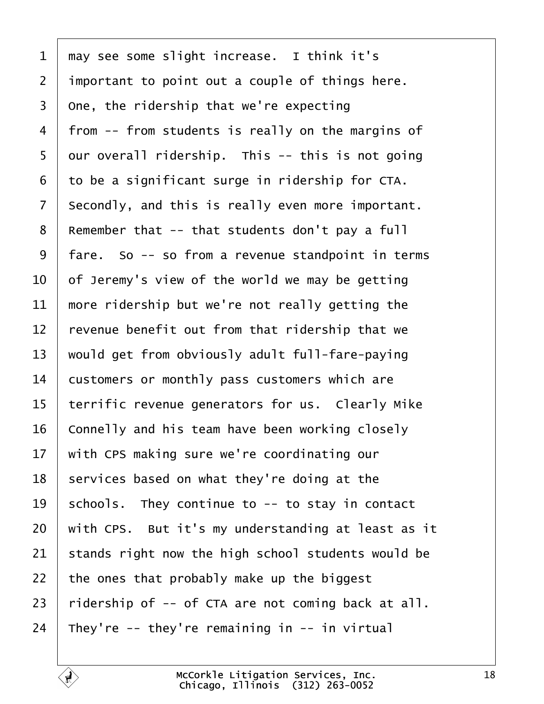<span id="page-17-0"></span>

| 1               | may see some slight increase. I think it's         |
|-----------------|----------------------------------------------------|
| $\overline{2}$  | important to point out a couple of things here.    |
| 3               | One, the ridership that we're expecting            |
| 4               | from -- from students is really on the margins of  |
| 5               | dur overall ridership. This -- this is not going   |
| 6               | to be a significant surge in ridership for CTA.    |
| 7               | Secondly, and this is really even more important.  |
| 8               | Remember that -- that students don't pay a full    |
| 9               | fare. So -- so from a revenue standpoint in terms  |
| 10              | of Jeremy's view of the world we may be getting    |
| 11              | more ridership but we're not really getting the    |
| 12 <sub>2</sub> | revenue benefit out from that ridership that we    |
| 13              | would get from obviously adult full-fare-paying    |
| 14              | customers or monthly pass customers which are      |
| 15              | terrific revenue generators for us. Clearly Mike   |
| 16              | Connelly and his team have been working closely    |
|                 | 17 with CPS making sure we're coordinating our     |
| 18              | services based on what they're doing at the        |
| 19              | schools. They continue to -- to stay in contact    |
| 20              | with CPS. But it's my understanding at least as it |
| 21              | stands right now the high school students would be |
| 22              | the ones that probably make up the biggest         |
| 23              | ridership of -- of CTA are not coming back at all. |
| 24              | They're -- they're remaining in -- in virtual      |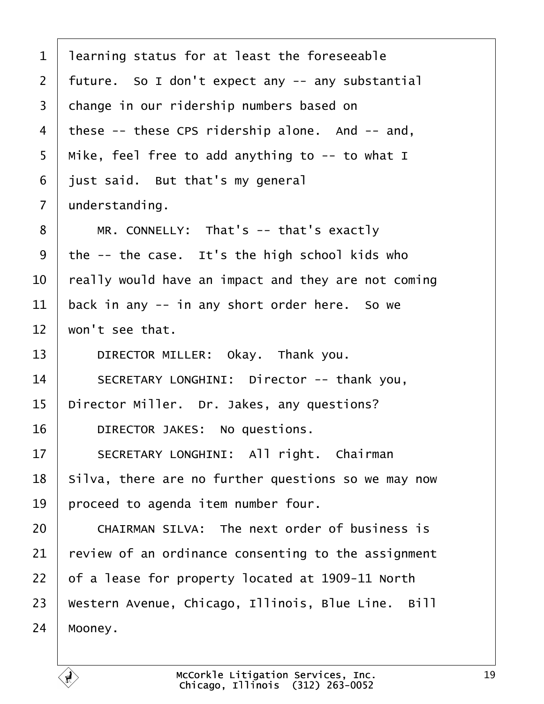- <span id="page-18-0"></span>1 learning status for at least the foreseeable
- 2 future. So I don't expect any -- any substantial
- 3 change in our ridership numbers based on
- 4 these -- these CPS ridership alone. And -- and,
- 5 Mike, feel free to add anything to -- to what I
- 6 just said. But that's my general
- 7 dnderstanding.
- 8 | MR. CONNELLY: That's -- that's exactly
- 9 the -- the case. It's the high school kids who
- 10 really would have an impact and they are not coming
- 11 back in any -- in any short order here. So we
- 12 won't see that.
- 13 | DIRECTOR MILLER: Okay. Thank you.
- 14 | SECRETARY LONGHINI: Director -- thank you,
- 15 Director Miller. Dr. Jakes, any questions?
- 16 | DIRECTOR JAKES: No questions.
- 17 | SECRETARY LONGHINI: All right. Chairman
- 18 Silva, there are no further questions so we may now
- 19 proceed to agenda item number four.
- 20 **CHAIRMAN SILVA:** The next order of business is
- 21 review of an ordinance consenting to the assignment
- 22  $\sigma$  of a lease for property located at 1909-11 North
- 23 Western Avenue, Chicago, Illinois, Blue Line. Bill
- 24 Mooney.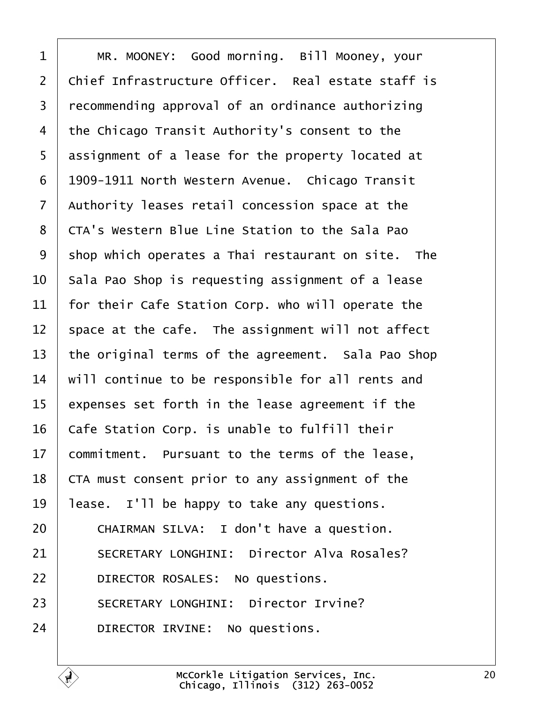<span id="page-19-0"></span>

| 1              | MR. MOONEY: Good morning. Bill Mooney, your            |
|----------------|--------------------------------------------------------|
| $\overline{2}$ | Chief Infrastructure Officer. Real estate staff is     |
| 3              | recommending approval of an ordinance authorizing      |
| 4              | the Chicago Transit Authority's consent to the         |
| 5              | assignment of a lease for the property located at      |
| 6              | 1909-1911 North Western Avenue. Chicago Transit        |
| $\overline{7}$ | Authority leases retail concession space at the        |
| 8              | <b>CTA's Western Blue Line Station to the Sala Pao</b> |
| 9              | shop which operates a Thai restaurant on site. The     |
| 10             | Sala Pao Shop is requesting assignment of a lease      |
| 11             | for their Cafe Station Corp. who will operate the      |
| 12             | space at the cafe. The assignment will not affect      |
| 13             | the original terms of the agreement. Sala Pao Shop     |
| 14             | will continue to be responsible for all rents and      |
| 15             | expenses set forth in the lease agreement if the       |
| 16             | Cafe Station Corp. is unable to fulfill their          |
| 17             | commitment. Pursuant to the terms of the lease,        |
| 18             | CTA must consent prior to any assignment of the        |
| 19             | lease. I'll be happy to take any questions.            |
| 20             | CHAIRMAN SILVA: I don't have a question.               |
| 21             | <b>SECRETARY LONGHINI: Director Alva Rosales?</b>      |
| 22             | DIRECTOR ROSALES: No questions.                        |
| 23             | <b>SECRETARY LONGHINI: Director Irvine?</b>            |
| 24             | DIRECTOR IRVINE: No questions.                         |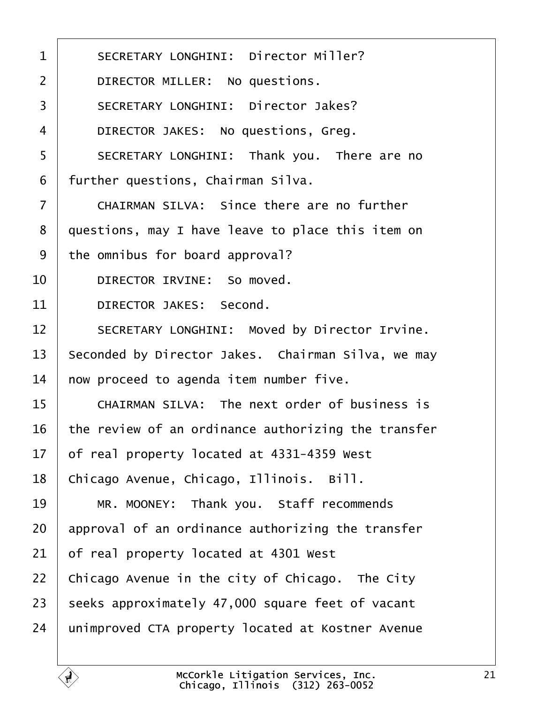<span id="page-20-0"></span>

| $\mathbf{1}$   | <b>SECRETARY LONGHINI: Director Miller?</b>          |
|----------------|------------------------------------------------------|
| 2              | DIRECTOR MILLER: No questions.                       |
| 3              | <b>SECRETARY LONGHINI: Director Jakes?</b>           |
| 4              | DIRECTOR JAKES: No questions, Greg.                  |
| 5              | SECRETARY LONGHINI: Thank you. There are no          |
| 6              | further questions, Chairman Silva.                   |
| $\overline{7}$ | <b>CHAIRMAN SILVA: Since there are no further</b>    |
| 8              | questions, may I have leave to place this item on    |
| 9              | the omnibus for board approval?                      |
| 10             | DIRECTOR IRVINE: So moved.                           |
| 11             | DIRECTOR JAKES: Second.                              |
| 12             | <b>SECRETARY LONGHINI: Moved by Director Irvine.</b> |
| 13             | Seconded by Director Jakes. Chairman Silva, we may   |
| 14             | how proceed to agenda item number five.              |
| 15             | <b>CHAIRMAN SILVA: The next order of business is</b> |
| 16             | the review of an ordinance authorizing the transfer  |
| 17             | of real property located at 4331-4359 West           |
| 18             | Chicago Avenue, Chicago, Illinois. Bill.             |
| 19             | MR. MOONEY: Thank you. Staff recommends              |
| 20             | approval of an ordinance authorizing the transfer    |
| 21             | of real property located at 4301 West                |
| 22             | Chicago Avenue in the city of Chicago. The City      |
| 23             | seeks approximately 47,000 square feet of vacant     |
| 24             | unimproved CTA property located at Kostner Avenue    |
|                |                                                      |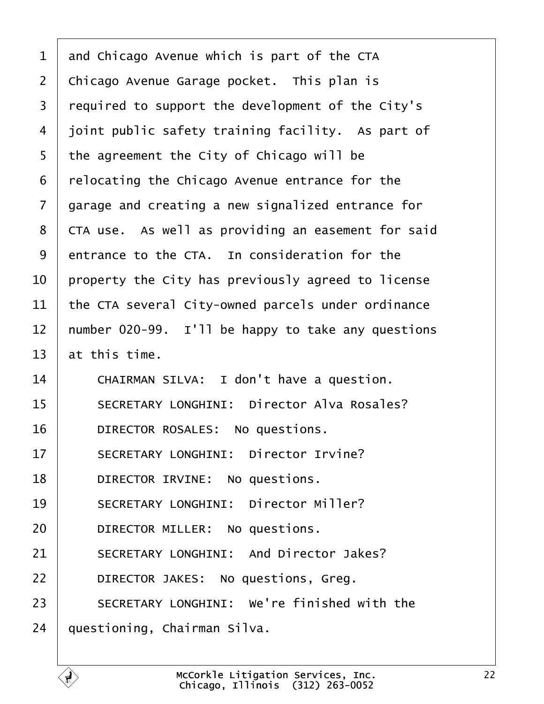<span id="page-21-0"></span>

| 1              | and Chicago Avenue which is part of the CTA        |
|----------------|----------------------------------------------------|
| $\overline{2}$ | Chicago Avenue Garage pocket. This plan is         |
| 3              | required to support the development of the City's  |
| 4              | joint public safety training facility. As part of  |
| 5              | the agreement the City of Chicago will be          |
| 6              | relocating the Chicago Avenue entrance for the     |
| 7              | garage and creating a new signalized entrance for  |
| 8              | CTA use. As well as providing an easement for said |
| 9              | entrance to the CTA. In consideration for the      |
| 10             | property the City has previously agreed to license |
| 11             | the CTA several City-owned parcels under ordinance |
| 12             | humber 020-99. I'll be happy to take any questions |
| 13             | at this time.                                      |
| 14             | CHAIRMAN SILVA: I don't have a question.           |
| 15             | SECRETARY LONGHINI: Director Alva Rosales?         |
| 16             | DIRECTOR ROSALES: No questions.                    |
| 17             | <b>SECRETARY LONGHINI: Director Irvine?</b>        |
| 18             | DIRECTOR IRVINE: No questions.                     |
| 19             | <b>SECRETARY LONGHINI: Director Miller?</b>        |
| 20             | DIRECTOR MILLER: No questions.                     |
| 21             | <b>SECRETARY LONGHINI: And Director Jakes?</b>     |
| 22             | DIRECTOR JAKES: No questions, Greg.                |
| 23             | SECRETARY LONGHINI: We're finished with the        |
| 24             | questioning, Chairman Silva.                       |
|                |                                                    |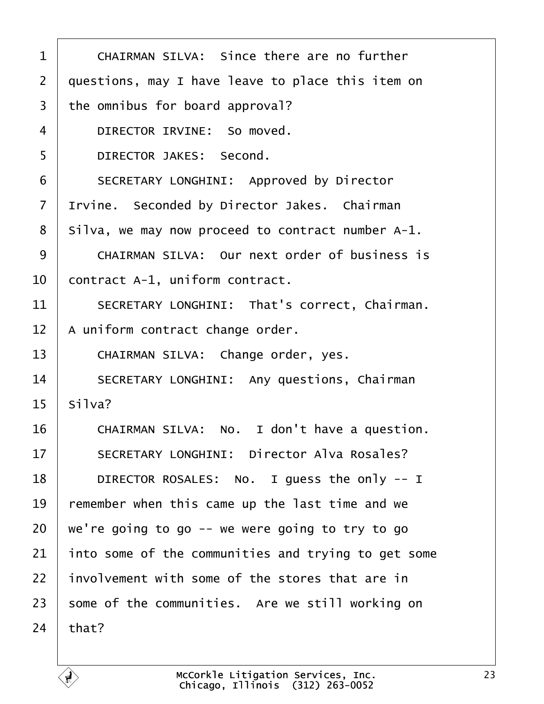<span id="page-22-0"></span>

| 1              | <b>CHAIRMAN SILVA: Since there are no further</b>   |
|----------------|-----------------------------------------------------|
| 2              | questions, may I have leave to place this item on   |
| 3              | the omnibus for board approval?                     |
| $\overline{4}$ | DIRECTOR IRVINE: So moved.                          |
| 5              | DIRECTOR JAKES: Second.                             |
| 6              | <b>SECRETARY LONGHINI: Approved by Director</b>     |
| $\overline{7}$ | Itvine. Seconded by Director Jakes. Chairman        |
| 8              | Silva, we may now proceed to contract number A-1.   |
| 9              | CHAIRMAN SILVA: Our next order of business is       |
| 10             | contract A-1, uniform contract.                     |
| 11             | SECRETARY LONGHINI: That's correct, Chairman.       |
| 12             | A uniform contract change order.                    |
| 13             | CHAIRMAN SILVA: Change order, yes.                  |
| 14             | <b>SECRETARY LONGHINI: Any questions, Chairman</b>  |
| 15             | Silva?                                              |
| 16             | CHAIRMAN SILVA: No. I don't have a question.        |
| 17             | <b>SECRETARY LONGHINI: Director Alva Rosales?</b>   |
| 18             | DIRECTOR ROSALES: No. I guess the only -- I         |
| 19             | remember when this came up the last time and we     |
| 20             | we're going to go -- we were going to try to go     |
| 21             | into some of the communities and trying to get some |
| 22             | involvement with some of the stores that are in     |
| 23             | some of the communities. Are we still working on    |
| 24             | that?                                               |
|                |                                                     |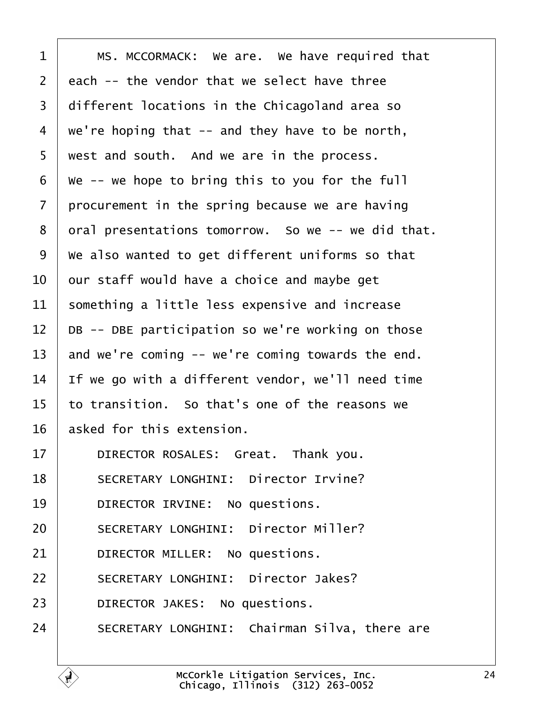<span id="page-23-0"></span>

| 1              | MS. MCCORMACK: We are. We have required that       |
|----------------|----------------------------------------------------|
| $\overline{2}$ | each -- the vendor that we select have three       |
| 3              | different locations in the Chicagoland area so     |
| 4              | we're hoping that -- and they have to be north,    |
| 5              | west and south. And we are in the process.         |
| 6              | We -- we hope to bring this to you for the full    |
| 7              | procurement in the spring because we are having    |
| 8              | dral presentations tomorrow. So we -- we did that. |
| 9              | We also wanted to get different uniforms so that   |
| 10             | bur staff would have a choice and maybe get        |
| 11             | something a little less expensive and increase     |
| 12             | DB -- DBE participation so we're working on those  |
| 13             | and we're coming -- we're coming towards the end.  |
| 14             | If we go with a different vendor, we'll need time  |
| 15             | to transition. So that's one of the reasons we     |
| 16             | asked for this extension.                          |
| 17             | DIRECTOR ROSALES: Great. Thank you.                |
| 18             | <b>SECRETARY LONGHINI: Director Irvine?</b>        |
| 19             | DIRECTOR IRVINE: No questions.                     |
| 20             | <b>SECRETARY LONGHINI: Director Miller?</b>        |
| 21             | DIRECTOR MILLER: No questions.                     |
| 22             | <b>SECRETARY LONGHINI: Director Jakes?</b>         |
| 23             | DIRECTOR JAKES: No questions.                      |
| 24             | SECRETARY LONGHINI: Chairman Silva, there are      |
|                |                                                    |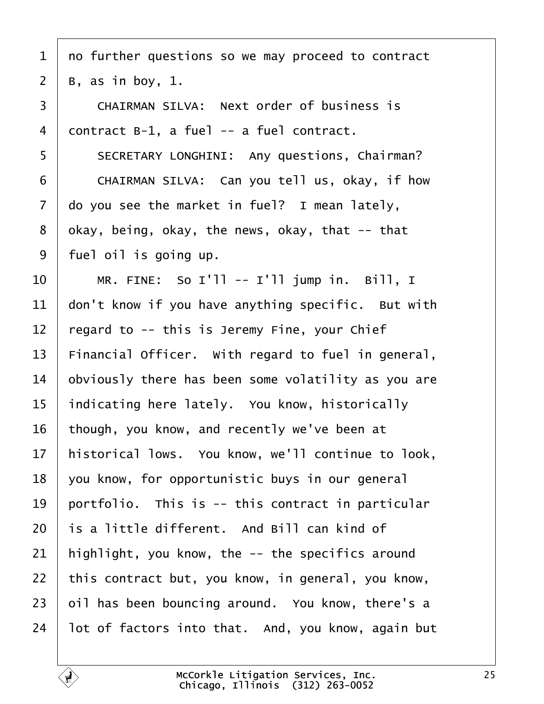- <span id="page-24-0"></span>1 no further questions so we may proceed to contract
- 2  $\,$  B, as in boy, 1.
- 3 **CHAIRMAN SILVA: Next order of business is**
- 4 dontract B-1, a fuel -- a fuel contract.
- 5 | SECRETARY LONGHINI: Any questions, Chairman?
- 6 CHAIRMAN SILVA: Can you tell us, okay, if how
- 7 do you see the market in fuel? I mean lately,
- 8 dkay, being, okay, the news, okay, that -- that
- 9 fuel oil is going up.
- $10 \parallel MR$ . FINE: So I'll -- I'll jump in. Bill, I
- 11 don't know if you have anything specific. But with
- 12  $\frac{1}{2}$  regard to -- this is Jeremy Fine, your Chief
- 13 Financial Officer. With regard to fuel in general,
- 14 b b viously there has been some volatility as you are
- 15 indicating here lately. You know, historically
- 16 though, you know, and recently we've been at
- 17 historical lows. You know, we'll continue to look,
- 18  $\sqrt{v}$  vou know, for opportunistic buys in our general
- 19 portfolio. This is -- this contract in particular
- 20 is a little different. And Bill can kind of
- 21 highlight, you know, the -- the specifics around
- 22 this contract but, you know, in general, you know,
- 23 bil has been bouncing around. You know, there's a
- 24 lot of factors into that. And, you know, again but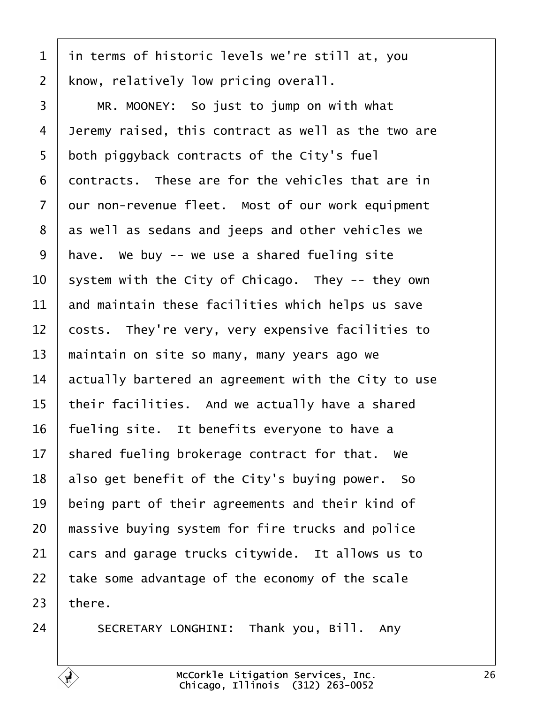<span id="page-25-0"></span>

| 1              | in terms of historic levels we're still at, you     |
|----------------|-----------------------------------------------------|
| $\overline{2}$ | know, relatively low pricing overall.               |
| 3              | MR. MOONEY: So just to jump on with what            |
| 4              | Jeremy raised, this contract as well as the two are |
| 5              | both piggyback contracts of the City's fuel         |
| 6              | dontracts. These are for the vehicles that are in   |
| $\overline{7}$ | dur non-revenue fleet. Most of our work equipment   |
| 8              | as well as sedans and jeeps and other vehicles we   |
| 9              | have. We buy -- we use a shared fueling site        |
| 10             | system with the City of Chicago. They -- they own   |
| 11             | and maintain these facilities which helps us save   |
| $12 \,$        | costs. They're very, very expensive facilities to   |
| 13             | maintain on site so many, many years ago we         |
| 14             | actually bartered an agreement with the City to use |
| 15             | their facilities. And we actually have a shared     |
| 16             | fueling site. It benefits everyone to have a        |
| 17             | shared fueling brokerage contract for that. We      |
| 18             | also get benefit of the City's buying power. So     |
| 19             | being part of their agreements and their kind of    |
| 20             | massive buying system for fire trucks and police    |
| 21             | cars and garage trucks citywide. It allows us to    |
| 22             | take some advantage of the economy of the scale     |
| 23             | there.                                              |
|                |                                                     |

24 | SECRETARY LONGHINI: Thank you, Bill. Any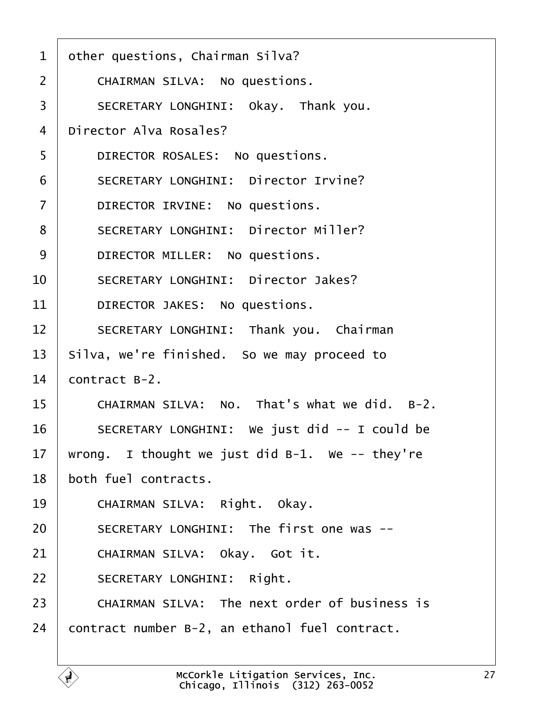<span id="page-26-0"></span>

| 1              | other questions, Chairman Silva?                     |
|----------------|------------------------------------------------------|
| 2              | <b>CHAIRMAN SILVA: No questions.</b>                 |
| 3              | SECRETARY LONGHINI: Okay. Thank you.                 |
| 4              | Director Alva Rosales?                               |
| 5              | DIRECTOR ROSALES: No questions.                      |
| 6              | <b>SECRETARY LONGHINI: Director Irvine?</b>          |
| $\overline{7}$ | DIRECTOR IRVINE: No questions.                       |
| 8              | <b>SECRETARY LONGHINI: Director Miller?</b>          |
| 9              | DIRECTOR MILLER: No questions.                       |
| 10             | <b>SECRETARY LONGHINI: Director Jakes?</b>           |
| 11             | DIRECTOR JAKES: No questions.                        |
| 12             | SECRETARY LONGHINI: Thank you. Chairman              |
| 13             | Silva, we're finished. So we may proceed to          |
| 14             | contract B-2.                                        |
| 15             | CHAIRMAN SILVA: No. That's what we did. B-2.         |
| 16             | SECRETARY LONGHINI: We just did -- I could be        |
| 17             | wrong. I thought we just did B-1. We -- they're      |
| 18             | both fuel contracts.                                 |
| 19             | CHAIRMAN SILVA: Right. Okay.                         |
| 20             | SECRETARY LONGHINI: The first one was --             |
| 21             | CHAIRMAN SILVA: Okay. Got it.                        |
| 22             | <b>SECRETARY LONGHINI: Right.</b>                    |
| 23             | <b>CHAIRMAN SILVA: The next order of business is</b> |
| 24             | contract number B-2, an ethanol fuel contract.       |
|                |                                                      |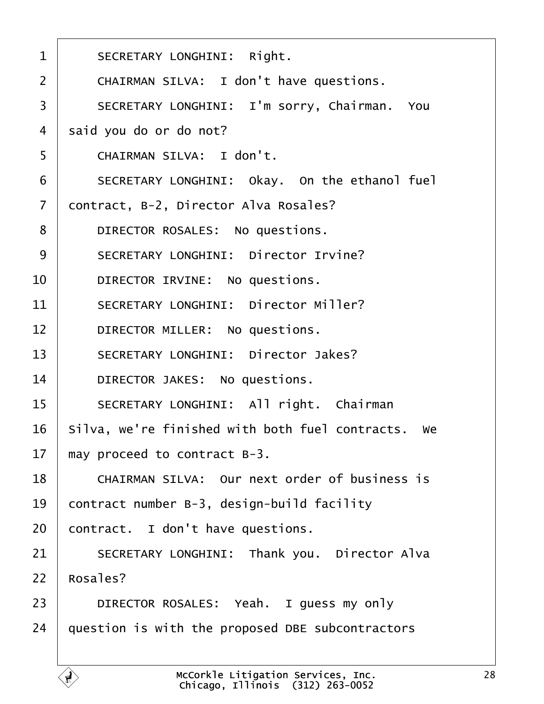<span id="page-27-0"></span>

| 1  | <b>SECRETARY LONGHINI: Right.</b>                   |
|----|-----------------------------------------------------|
| 2  | CHAIRMAN SILVA: I don't have questions.             |
| 3  | SECRETARY LONGHINI: I'm sorry, Chairman. You        |
| 4  | said you do or do not?                              |
| 5  | CHAIRMAN SILVA: I don't.                            |
| 6  | SECRETARY LONGHINI: Okay. On the ethanol fuel       |
| 7  | dontract, B-2, Director Alva Rosales?               |
| 8  | DIRECTOR ROSALES: No questions.                     |
| 9  | <b>SECRETARY LONGHINI: Director Irvine?</b>         |
| 10 | DIRECTOR IRVINE: No questions.                      |
| 11 | <b>SECRETARY LONGHINI: Director Miller?</b>         |
| 12 | DIRECTOR MILLER: No questions.                      |
| 13 | <b>SECRETARY LONGHINI: Director Jakes?</b>          |
| 14 | DIRECTOR JAKES: No questions.                       |
| 15 | SECRETARY LONGHINI: All right. Chairman             |
| 16 | Silva, we're finished with both fuel contracts. We  |
| 17 | may proceed to contract B-3.                        |
| 18 | CHAIRMAN SILVA: Our next order of business is       |
| 19 | contract number B-3, design-build facility          |
| 20 | contract. I don't have questions.                   |
| 21 | <b>SECRETARY LONGHINI: Thank you. Director Alva</b> |
| 22 | Rosales?                                            |
| 23 | DIRECTOR ROSALES: Yeah. I guess my only             |
| 24 | question is with the proposed DBE subcontractors    |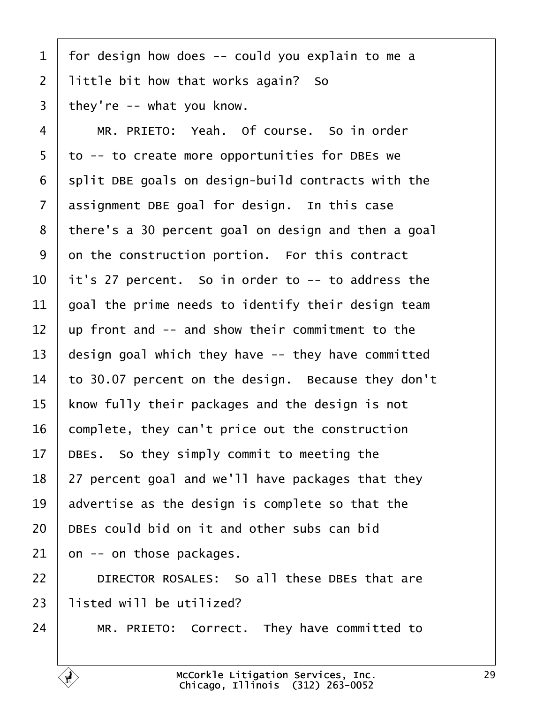<span id="page-28-0"></span>

| $\mathbf 1$     | for design how does -- could you explain to me a    |
|-----------------|-----------------------------------------------------|
| 2               | little bit how that works again? So                 |
| 3               | they're -- what you know.                           |
| 4               | MR. PRIETO: Yeah. Of course. So in order            |
| 5               | to -- to create more opportunities for DBEs we      |
| 6               | split DBE goals on design-build contracts with the  |
| $\overline{7}$  | assignment DBE goal for design. In this case        |
| 8               | there's a 30 percent goal on design and then a goal |
| 9               | on the construction portion. For this contract      |
| 10              | it's 27 percent. So in order to -- to address the   |
| 11              | goal the prime needs to identify their design team  |
| 12              | up front and -- and show their commitment to the    |
| 13              | design goal which they have -- they have committed  |
| 14              | to 30.07 percent on the design. Because they don't  |
| 15              | know fully their packages and the design is not     |
| 16              | complete, they can't price out the construction     |
| 17 <sub>1</sub> | DBEs. So they simply commit to meeting the          |
| 18              | 27 percent goal and we'll have packages that they   |
| 19              | advertise as the design is complete so that the     |
| 20              | DBEs could bid on it and other subs can bid         |
| 21              | on -- on those packages.                            |
| 22              | DIRECTOR ROSALES: So all these DBEs that are        |
| 23              | listed will be utilized?                            |
| 24              | MR. PRIETO: Correct. They have committed to         |
|                 |                                                     |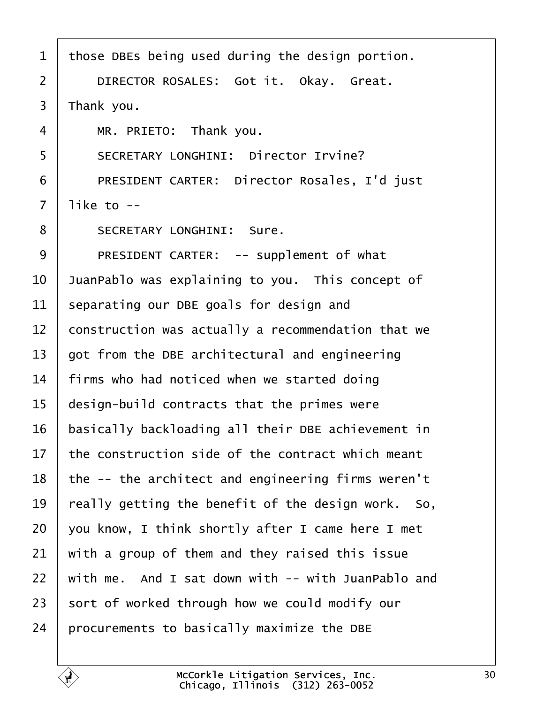<span id="page-29-0"></span>

| 1              | those DBEs being used during the design portion.   |
|----------------|----------------------------------------------------|
| $\overline{2}$ | DIRECTOR ROSALES: Got it. Okay. Great.             |
| 3              | Thank you.                                         |
| 4              | MR. PRIETO: Thank you.                             |
| 5              | <b>SECRETARY LONGHINI: Director Irvine?</b>        |
| 6              | PRESIDENT CARTER: Director Rosales, I'd just       |
| $\overline{7}$ | like to --                                         |
| 8              | <b>SECRETARY LONGHINI: Sure.</b>                   |
| 9              | PRESIDENT CARTER: -- supplement of what            |
| 10             | JuanPablo was explaining to you. This concept of   |
| 11             | separating our DBE goals for design and            |
| 12             | construction was actually a recommendation that we |
| 13             | got from the DBE architectural and engineering     |
| 14             | firms who had noticed when we started doing        |
| 15             | design-build contracts that the primes were        |
| 16             | basically backloading all their DBE achievement in |
| 17             | the construction side of the contract which meant  |
| 18             | the -- the architect and engineering firms weren't |
| 19             | really getting the benefit of the design work. So, |
| 20             | you know, I think shortly after I came here I met  |
| 21             | with a group of them and they raised this issue    |
| 22             | with me. And I sat down with -- with JuanPablo and |
| 23             | sort of worked through how we could modify our     |
| 24             | procurements to basically maximize the DBE         |
|                |                                                    |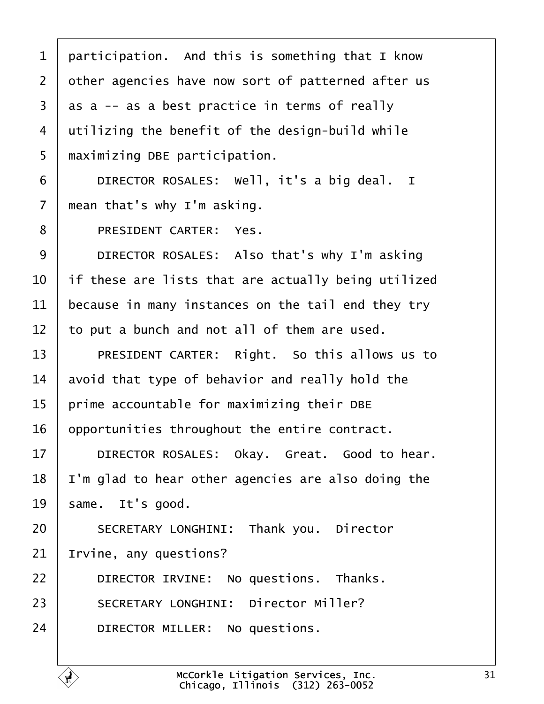<span id="page-30-0"></span>

|  |  | 1 participation. And this is something that I know |  |
|--|--|----------------------------------------------------|--|
|--|--|----------------------------------------------------|--|

- 2 dther agencies have now sort of patterned after us
- 3 as a -- as a best practice in terms of really
- 4 dilizing the benefit of the design-build while
- 5 maximizing DBE participation.
- 6 | DIRECTOR ROSALES: Well, it's a big deal. I
- 7 mean that's why I'm asking.
- 8 | PRESIDENT CARTER: Yes.
- 9 | DIRECTOR ROSALES: Also that's why I'm asking
- 10 If these are lists that are actually being utilized
- 11 because in many instances on the tail end they try
- 12 to put a bunch and not all of them are used.
- 13 | PRESIDENT CARTER: Right. So this allows us to
- 14 avoid that type of behavior and really hold the
- 15 prime accountable for maximizing their DBE
- 16 opportunities throughout the entire contract.
- 17 | DIRECTOR ROSALES: Okay. Great. Good to hear.
- 18 I'm glad to hear other agencies are also doing the
- 19 same. It's good.
- 20 | SECRETARY LONGHINI: Thank you. Director
- 21 Irvine, any questions?
- $22$  | DIRECTOR IRVINE: No questions. Thanks.
- 23 | SECRETARY LONGHINI: Director Miller?
- 24 | DIRECTOR MILLER: No questions.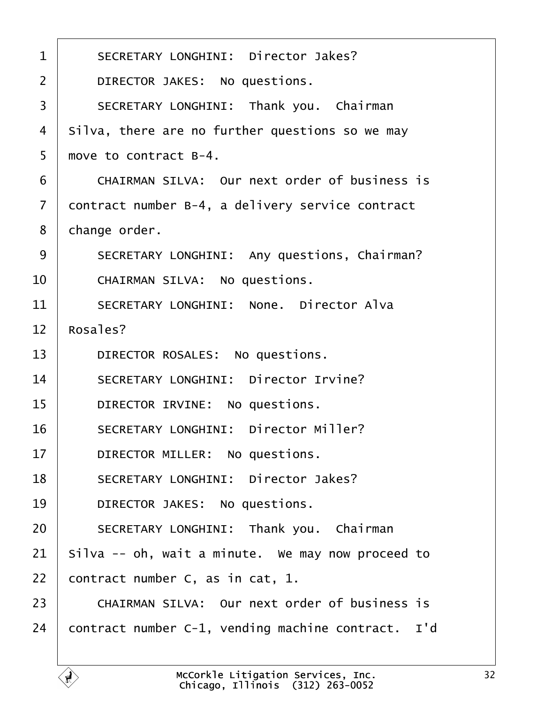<span id="page-31-0"></span>

| 1              | <b>SECRETARY LONGHINI: Director Jakes?</b>           |
|----------------|------------------------------------------------------|
| $\overline{2}$ | DIRECTOR JAKES: No questions.                        |
| 3              | SECRETARY LONGHINI: Thank you. Chairman              |
| 4              | Silva, there are no further questions so we may      |
| 5              | move to contract B-4.                                |
| 6              | <b>CHAIRMAN SILVA: Our next order of business is</b> |
| 7              | dontract number B-4, a delivery service contract     |
| 8              | change order.                                        |
| 9              | SECRETARY LONGHINI: Any questions, Chairman?         |
| 10             | CHAIRMAN SILVA: No questions.                        |
| 11             | <b>SECRETARY LONGHINI: None. Director Alva</b>       |
| 12             | Rosales?                                             |
| 13             | DIRECTOR ROSALES: No questions.                      |
| 14             | <b>SECRETARY LONGHINI: Director Irvine?</b>          |
| 15             | DIRECTOR IRVINE: No questions.                       |
| 16             | <b>SECRETARY LONGHINI: Director Miller?</b>          |
| 17             | DIRECTOR MILLER: No questions.                       |
| 18             | <b>SECRETARY LONGHINI: Director Jakes?</b>           |
| 19             | DIRECTOR JAKES: No questions.                        |
| 20             | <b>SECRETARY LONGHINI: Thank you. Chairman</b>       |
| 21             | Silva -- oh, wait a minute. We may now proceed to    |
| 22             | contract number C, as in cat, 1.                     |
| 23             | CHAIRMAN SILVA: Our next order of business is        |
| 24             | contract number C-1, vending machine contract. I'd   |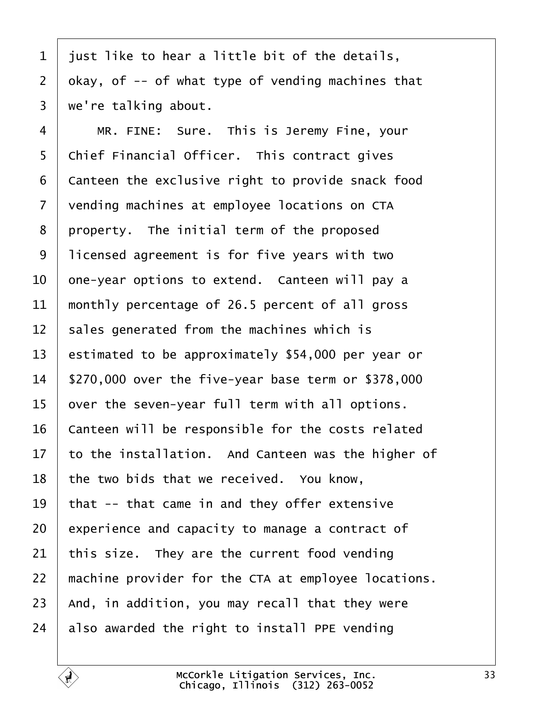- <span id="page-32-0"></span>1 just like to hear a little bit of the details,
- 2 okay, of -- of what type of vending machines that
- 3 we're talking about.
- $4 \mid MR$ . FINE: Sure. This is Jeremy Fine, your
- 5 Chief Financial Officer. This contract gives
- 6 Canteen the exclusive right to provide snack food
- 7 vending machines at employee locations on CTA
- 8 property. The initial term of the proposed
- ·9· ·licensed agreement is for five years with two
- 10 one-year options to extend. Canteen will pay a
- 11 monthly percentage of 26.5 percent of all gross
- 12 sales generated from the machines which is
- 13 estimated to be approximately \$54,000 per year or
- 14 \$270,000 over the five-year base term or \$378,000
- 15 byer the seven-year full term with all options.
- 16 Canteen will be responsible for the costs related
- 17 to the installation. And Canteen was the higher of
- 18 the two bids that we received. You know,
- 19 that -- that came in and they offer extensive
- 20 experience and capacity to manage a contract of
- 21 this size. They are the current food vending
- 22 machine provider for the CTA at employee locations.
- 23 And, in addition, you may recall that they were
- 24 also awarded the right to install PPE vending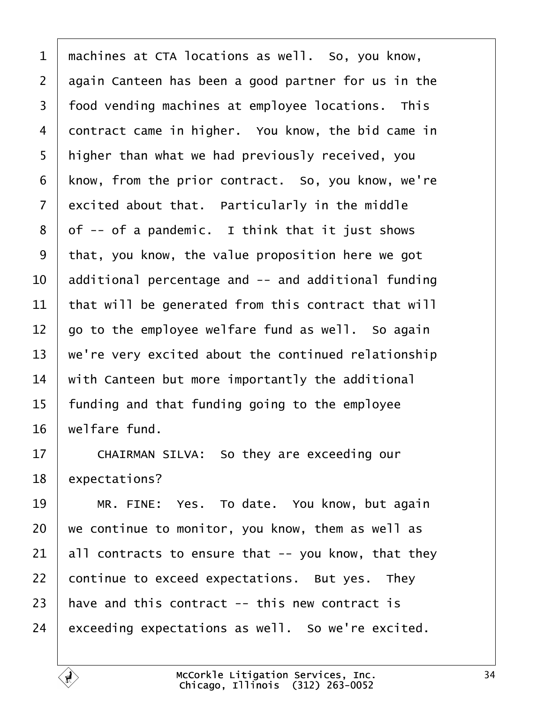<span id="page-33-0"></span>1 machines at CTA locations as well. So, you know, 2 digain Canteen has been a good partner for us in the 3 food vending machines at employee locations. This 4 dontract came in higher. You know, the bid came in 5 higher than what we had previously received, you 6 know, from the prior contract. So, you know, we're 7 excited about that. Particularly in the middle 8 of -- of a pandemic. I think that it just shows ·9· ·that, you know, the value proposition here we got 10 additional percentage and -- and additional funding 11 that will be generated from this contract that will 12 go to the employee welfare fund as well. So again 13 we're very excited about the continued relationship 14 with Canteen but more importantly the additional 15 funding and that funding going to the employee 16 welfare fund. 17 | CHAIRMAN SILVA: So they are exceeding our 18 expectations? 19 | MR. FINE: Yes. To date. You know, but again 20 we continue to monitor, you know, them as well as 21  $\mu$  all contracts to ensure that -- you know, that they 22 continue to exceed expectations. But yes. They 23 have and this contract -- this new contract is 24 exceeding expectations as well. So we're excited.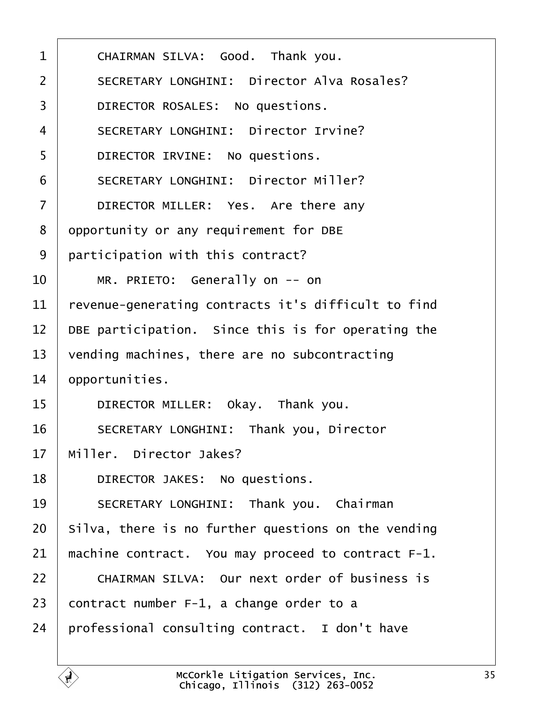<span id="page-34-0"></span>

| 1              | CHAIRMAN SILVA: Good. Thank you.                     |
|----------------|------------------------------------------------------|
|                |                                                      |
| 2              | <b>SECRETARY LONGHINI: Director Alva Rosales?</b>    |
| 3              | DIRECTOR ROSALES: No questions.                      |
| 4              | <b>SECRETARY LONGHINI: Director Irvine?</b>          |
| 5              | DIRECTOR IRVINE: No questions.                       |
| 6              | <b>SECRETARY LONGHINI: Director Miller?</b>          |
| $\overline{7}$ | DIRECTOR MILLER: Yes. Are there any                  |
| 8              | opportunity or any requirement for DBE               |
| 9              | participation with this contract?                    |
| 10             | MR. PRIETO: Generally on -- on                       |
| 11             | revenue-generating contracts it's difficult to find  |
| 12             | DBE participation. Since this is for operating the   |
| 13             | vending machines, there are no subcontracting        |
| 14             | opportunities.                                       |
| 15             | DIRECTOR MILLER: Okay. Thank you.                    |
| 16             | <b>SECRETARY LONGHINI: Thank you, Director</b>       |
| 17             | Miller. Director Jakes?                              |
| 18             | DIRECTOR JAKES: No questions.                        |
| 19             | SECRETARY LONGHINI: Thank you. Chairman              |
| 20             | Silva, there is no further questions on the vending  |
| 21             | machine contract. You may proceed to contract F-1.   |
| 22             | <b>CHAIRMAN SILVA: Our next order of business is</b> |
| 23             | contract number F-1, a change order to a             |
| 24             | professional consulting contract. I don't have       |
|                |                                                      |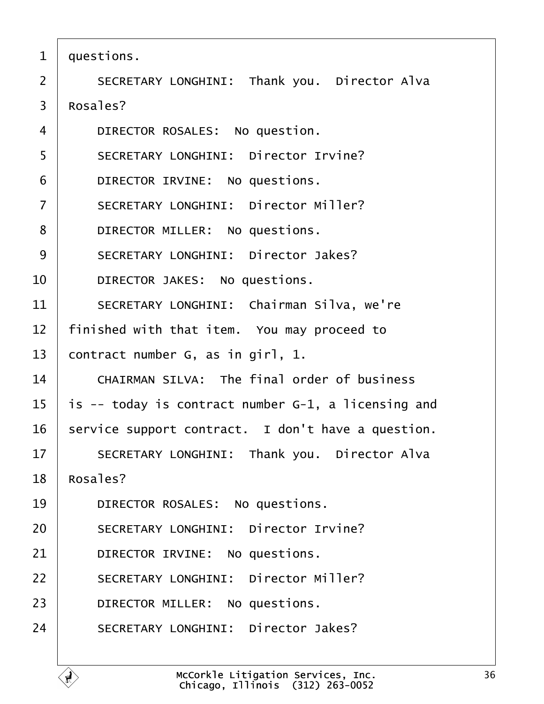- <span id="page-35-0"></span>1 duestions.
- 2 | SECRETARY LONGHINI: Thank you. Director Alva
- 3 Rosales?
- 4 | DIRECTOR ROSALES: No question.
- 5 | SECRETARY LONGHINI: Director Irvine?
- 6 | DIRECTOR IRVINE: No questions.
- 7 | SECRETARY LONGHINI: Director Miller?
- 8 | DIRECTOR MILLER: No questions.
- 9 | SECRETARY LONGHINI: Director Jakes?
- 10 | DIRECTOR JAKES: No questions.
- 11 | SECRETARY LONGHINI: Chairman Silva, we're
- 12 finished with that item. You may proceed to
- 13 contract number G, as in girl, 1.
- 14 CHAIRMAN SILVA: The final order of business
- 15 is -- today is contract number G-1, a licensing and
- 16 service support contract. I don't have a question.
- 17 | SECRETARY LONGHINI: Thank you. Director Alva
- 18 Rosales?
- 19 | DIRECTOR ROSALES: No questions.
- 20 | SECRETARY LONGHINI: Director Irvine?
- 21 | DIRECTOR IRVINE: No questions.
- 22 | SECRETARY LONGHINI: Director Miller?
- 23 | DIRECTOR MILLER: No questions.
- 24 | SECRETARY LONGHINI: Director Jakes?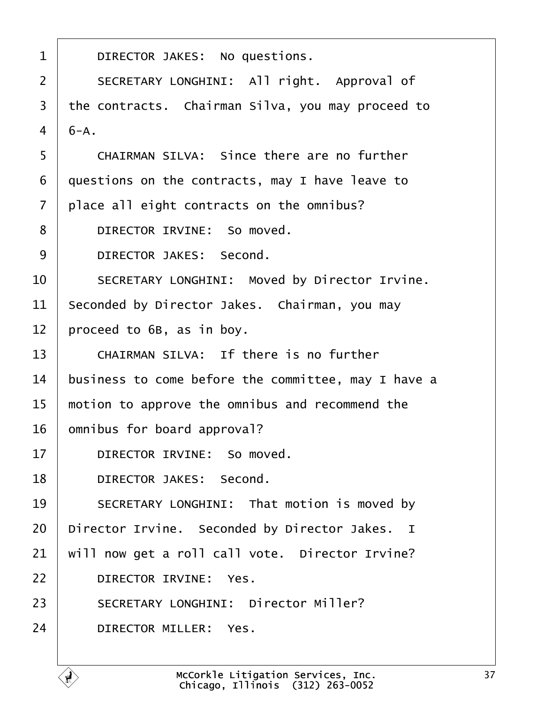<span id="page-36-0"></span>

| 1              | DIRECTOR JAKES: No questions.                       |
|----------------|-----------------------------------------------------|
| 2              | SECRETARY LONGHINI: All right. Approval of          |
| 3              | the contracts. Chairman Silva, you may proceed to   |
| $\overline{4}$ | $6-A.$                                              |
| 5              | CHAIRMAN SILVA: Since there are no further          |
| 6              | questions on the contracts, may I have leave to     |
| $\overline{7}$ | place all eight contracts on the omnibus?           |
| 8              | DIRECTOR IRVINE: So moved.                          |
| 9              | <b>DIRECTOR JAKES: Second.</b>                      |
| 10             | SECRETARY LONGHINI: Moved by Director Irvine.       |
| 11             | Seconded by Director Jakes. Chairman, you may       |
| 12             | proceed to 6B, as in boy.                           |
| 13             | CHAIRMAN SILVA: If there is no further              |
| 14             | business to come before the committee, may I have a |
| 15             | motion to approve the omnibus and recommend the     |
| 16             | omnibus for board approval?                         |
| 17             | DIRECTOR IRVINE: So moved.                          |
| 18             | DIRECTOR JAKES: Second.                             |
| 19             | SECRETARY LONGHINI: That motion is moved by         |
| 20             | Director Irvine. Seconded by Director Jakes. I      |
| 21             | will now get a roll call vote. Director Irvine?     |
| 22             | DIRECTOR IRVINE: Yes.                               |
| 23             | <b>SECRETARY LONGHINI: Director Miller?</b>         |
| 24             | <b>DIRECTOR MILLER: Yes.</b>                        |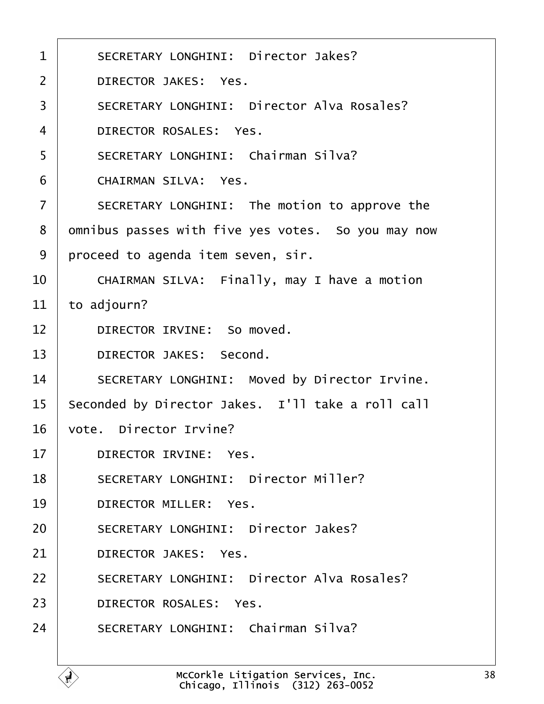<span id="page-37-0"></span>

| 1              | <b>SECRETARY LONGHINI: Director Jakes?</b>         |
|----------------|----------------------------------------------------|
| 2              | <b>DIRECTOR JAKES: Yes.</b>                        |
| 3              | <b>SECRETARY LONGHINI: Director Alva Rosales?</b>  |
| 4              | DIRECTOR ROSALES: Yes.                             |
| 5              | <b>SECRETARY LONGHINI: Chairman Silva?</b>         |
| 6              | <b>CHAIRMAN SILVA: Yes.</b>                        |
| $\overline{7}$ | SECRETARY LONGHINI: The motion to approve the      |
| 8              | dmnibus passes with five yes votes. So you may now |
| 9              | proceed to agenda item seven, sir.                 |
| 10             | CHAIRMAN SILVA: Finally, may I have a motion       |
| 11             | to adjourn?                                        |
| 12             | DIRECTOR IRVINE: So moved.                         |
| 13             | <b>DIRECTOR JAKES: Second.</b>                     |
| 14             | SECRETARY LONGHINI: Moved by Director Irvine.      |
| 15             | Seconded by Director Jakes. I'll take a roll call  |
| 16             | vote. Director Irvine?                             |
| 17             | DIRECTOR IRVINE: Yes.                              |
| 18             | <b>SECRETARY LONGHINI: Director Miller?</b>        |
| 19             | DIRECTOR MILLER: Yes.                              |
| 20             | <b>SECRETARY LONGHINI: Director Jakes?</b>         |
| 21             | <b>DIRECTOR JAKES: Yes.</b>                        |
| 22             | <b>SECRETARY LONGHINI: Director Alva Rosales?</b>  |
| 23             | DIRECTOR ROSALES: Yes.                             |
| 24             | SECRETARY LONGHINI: Chairman Silva?                |
|                |                                                    |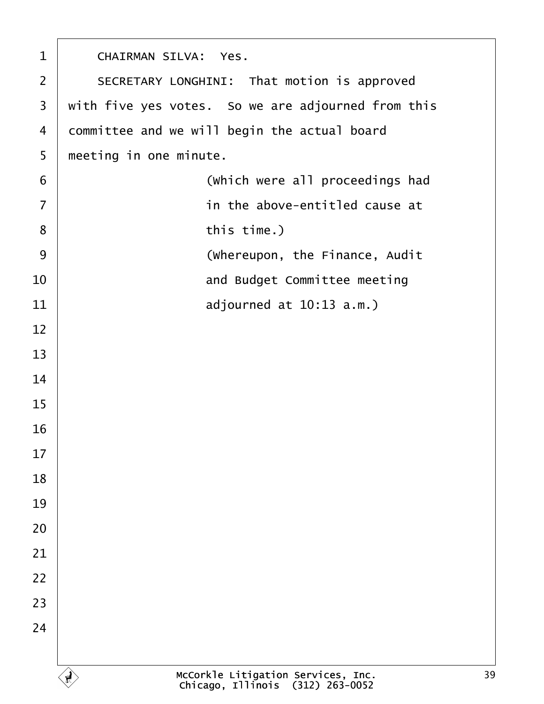<span id="page-38-0"></span>

| 1              | <b>CHAIRMAN SILVA: Yes.</b>                        |
|----------------|----------------------------------------------------|
| $\overline{2}$ | SECRETARY LONGHINI: That motion is approved        |
| 3              | with five yes votes. So we are adjourned from this |
| 4              | committee and we will begin the actual board       |
| 5              | meeting in one minute.                             |
| $\,6$          | (Which were all proceedings had                    |
| $\overline{7}$ | in the above-entitled cause at                     |
| 8              | this time.)                                        |
| 9              | (Whereupon, the Finance, Audit                     |
| 10             | and Budget Committee meeting                       |
| 11             | adjourned at 10:13 a.m.)                           |
| 12             |                                                    |
| 13             |                                                    |
| 14             |                                                    |
| 15             |                                                    |
| 16             |                                                    |
| 17             |                                                    |
| 18             |                                                    |
| 19             |                                                    |
| 20             |                                                    |
| 21             |                                                    |
| 22             |                                                    |
| 23             |                                                    |
| 24             |                                                    |
|                |                                                    |

 $\lceil$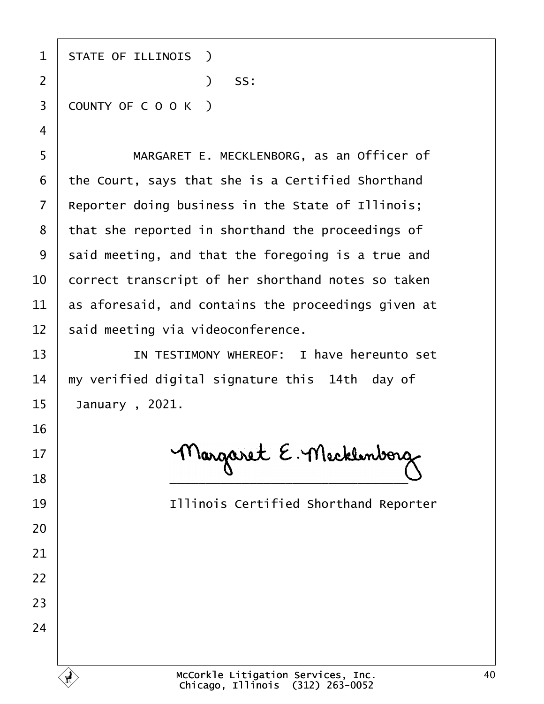| 1  | <b>STATE OF ILLINOIS</b> )                          |
|----|-----------------------------------------------------|
| 2  | SS:<br>$\mathcal{L}$                                |
| 3  | COUNTY OF COOK)                                     |
| 4  |                                                     |
| 5  | MARGARET E. MECKLENBORG, as an Officer of           |
| 6  | the Court, says that she is a Certified Shorthand   |
| 7  | Reporter doing business in the State of Illinois;   |
| 8  | that she reported in shorthand the proceedings of   |
| 9  | said meeting, and that the foregoing is a true and  |
| 10 | correct transcript of her shorthand notes so taken  |
| 11 | as aforesaid, and contains the proceedings given at |
| 12 | said meeting via videoconference.                   |
| 13 | IN TESTIMONY WHEREOF: I have hereunto set           |
| 14 | my verified digital signature this 14th day of      |
| 15 | January, 2021.                                      |
| 16 |                                                     |
| 17 |                                                     |
| 18 |                                                     |
| 19 | <b>Illinois Certified Shorthand Reporter</b>        |
| 20 |                                                     |
| 21 |                                                     |
| 22 |                                                     |
| 23 |                                                     |
| 24 |                                                     |
|    |                                                     |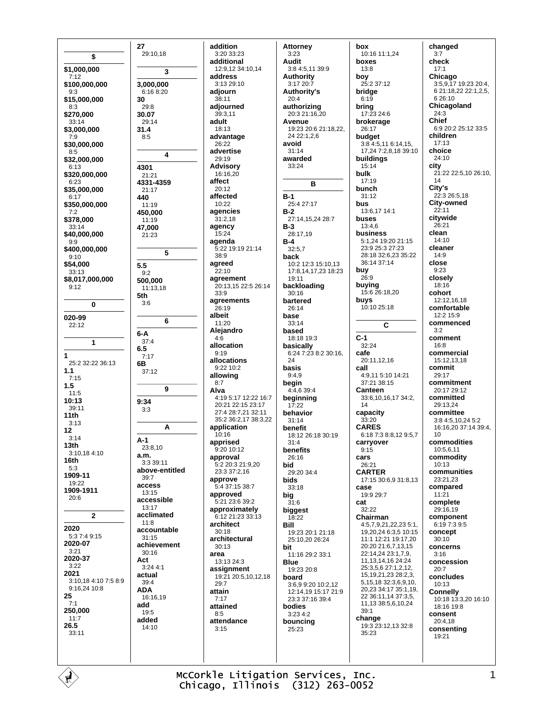\$ \$1,000,000  $7:12$ \$100,000,000  $9.3$ \$15,000,000  $8:3$ \$270,000  $33:14$ \$3,000,000  $7.9$ \$30,000,000  $8.5$ \$32,000,000 6:13 \$320,000,000  $6.23$ \$35,000,000  $6:17$ \$350,000,000  $7:2$ \$378,000  $33:14$ \$40,000,000  $9:9$ \$400.000.000  $9.10$ \$54,000 33:13 \$8,017,000,000  $9:12$  $\bf{0}$ 020-99  $22.12$ 1  $\overline{1}$ 25:2 32:22 36:13  $1.1$  $7:15$  $1.5$  $11.5$  $10:13$ 39:11  $11th$  $3:13$  $12$  $3:14$  $13<sub>th</sub>$ 3:10,18 4:10 16th  $5.3$ 1909-11 19:22 1909-1911  $20:6$  $\mathbf{2}$ 2020 5:3 7:4 9:15 2020-07  $3:21$ 2020-37  $3:22$ 2021  $3:10.184:107:58:9$ 9:16,24 10:8 25  $7:1$ 250.000  $11.7$ 26.5  $33:11$ 

27 29:10,18  $\mathbf{3}$ 3,000,000  $6:16$  8:20 30  $29.8$ 30.07  $29:14$  $31.4$  $8.5$  $\overline{\mathbf{4}}$ 4301  $21.21$ 4331-4359 21:17 440  $11.19$ 450,000 11:19 47.000 21:23 5  $5.5$  $9.2$ 500,000 11:13,18 5th  $3:6$ 6  $6-A$  $37.4$  $6.5$  $7:17$ 6B  $37.12$  $\mathbf{q}$  $9:34$  $3:3$ A  $A-1$  $23.810$  $a.m.$ 3:3 39:11 above-entitled  $39.7$ access 13:15 accessible  $13:17$ acclimated  $11.8$ accountable  $31:15$ achievement  $30.16$ Act 3:24 4:1 actual 39:4 **ADA** 16:16.19 add 19:5 added  $14:10$ 

addition 3:20 33:23 additional 12:9.12 34:10.14 address  $3.1329.10$ adjourn 38:11 adiourned  $39.311$ adult 18:13 advantage 26:22 advertise 29:19 **Advisory** 16:16,20 affect  $20:12$ affected  $10.22$ agencies  $31:2.18$ agency  $15.24$ agenda 5:22 19:19 21:14 38:9 agreed  $22:10$ agreement 20:13.15 22:5 26:14  $33.9$ agreements  $26:19$ albeit 11:20 Alejandro  $4:\!6$ allocation  $9.19$ allocations  $9:22$  10:2 allowing  $8.7$ Alva  $4:195:1712:2216:7$ 20:21.22:15.23:17 27:4 28:7.21 32:11 35:2 36:2,17 38:3,22 application  $10.16$ apprised 9:20 10:12 approval 5:2 20:3 21:9,20 23:3 37:2.16 approve  $5:437:1538:7$ approved 5:21 23:6 39:2 approximately 6:12 21:23 33:13 architect  $30.18$ architectural  $30.13$ area 13:13 24:3 assignment 19:21 20:5,10,12,18  $29.7$ attain  $7:17$ attained  $8.5$ attendance  $3:15$ 

**Attorney**  $3:23$ **Audit** 3:8 4:5.11 39:9 **Authority**  $3:1720:7$ **Authority's**  $20:4$ authorizing 20:3 21:16,20 Avenue 19:23 20:6 21:18,22, 24 22:1,2,6 avoid  $31.14$ awarded  $33.24$ **B**  $B-1$ 25:4 27:17  $B-2$ 27:14 15 24 28:7  $B-3$ 28:17,19  $B-4$  $32:5,7$ back  $10:2$  12:3 15:10.13 17:8.14.17.23 18:23  $19.11$ backloading  $30:16$ bartered  $26.14$ base  $33:14$ based 18:18 19:3 basically  $6:24$  7:23 8:2 30:16.  $24$ basis  $9:4,9$ begin  $4.46394$ beginning  $17:22$ behavior  $31:14$ benefit 18:12 26:18 30:19  $31.4$ benefits  $26.16$ bid 29:20 34:4 **bids** 33:18 big  $31.6$ biggest  $18:22$ Rill 19:23 20:1 21:18 25:10,20 26:24 bit 11:16 29:2 33:1 **Blue** 19:23 20:8 board 3:6.9 9:20 10:2.12 12:14,19 15:17 21:9 23:3 37:16 39:4 bodies  $3.234.2$ bouncing  $25.23$ 

box 10:16 11:1,24 boxes  $13.8$ boy 25:2 37:12 bridge  $6:19$ bring  $17.23246$ brokerage 26:17 budget  $3:84:5,116:14,15$ 17 24 7 2 8 18 39 10 buildings  $15.14$ bulk 17:19 bunch  $31.12$ bus 13:6,17 14:1 buses  $13:4.6$ business 5:1,24 19:20 21:15 23:9 25:3 27:23 28:18 32:6.23 35:22 36:14 37:14 buy  $26:9$ buying 15:6 26:18,20 buys 10:10 25:18 C  $C-1$  $32:24$ cafe  $20:11$  12 16 call 4:9,11 5:10 14:21 37:21 38:15 Canteen 33:6.10.16.17 34:2.  $14$ capacity  $33:20$ **CARES** 6:18 7:3 8:8,12 9:5,7 carrvover  $9.15$ cars 26:21 **CARTER** 17:15 30:6 9 31:8 13 case 19:9 29:7 cat  $32.22$ Chairman 4:5,7,9,21,22,23 5:1, 19 20 24 6:3 5 10:15 11:1 12:21 19:17.20 20:20 21:6,7,13,15 22:14,24 23:1,7,9, 11, 13, 14, 16 24: 24 25:3,5,6 27:1,2,12, 15, 19, 21, 23 28: 2, 3, 5, 15, 18 32: 3, 6, 9, 10, 20.23 34:17 35:1.19 22 36:11,14 37:3,5, 11.13 38:5.6.10.24  $39:1$ change 19:3 23:12,13 32:8 35:23

changed  $3:7$ check  $17.1$ Chicago 3:5,9,17 19:23 20:4, 6 21:18,22 22:1,2,5, 6 26:10 Chicagoland  $24:3$ Chief 6:9 20:2 25:12 33:5 children 17:13 choice  $24:10$ city 21:22 22:5,10 26:10, 14 City's  $22:326:5.18$ **City-owned**  $22.11$ citywide  $26:21$ clean  $14.10$ cleaner  $14.9$ close  $9:23$ closelv  $18.16$ cohort 12:12,16,18 comfortable 12:2 15:9 commenced  $3:2$ comment  $16.8$ commercial 15:12.13,18 commit  $29.17$ commitment 20:17 29:12 committed  $29.13.24$ committee 3:8 4:5,10,24 5:2 16:16,20 37:14 39:4,  $10$ commodities 10:5,6,11 commoditv  $10:13$ communities 23:21.23 compared  $11:21$ complete  $29:16.19$ component  $6.197395$ concept  $30:10$ concerns  $3:16$ concession  $20.7$ concludes 10:13 Connelly<br>10:18 13:3,20 16:10  $18.1619.8$ consent 20:4,18 consenting 19:21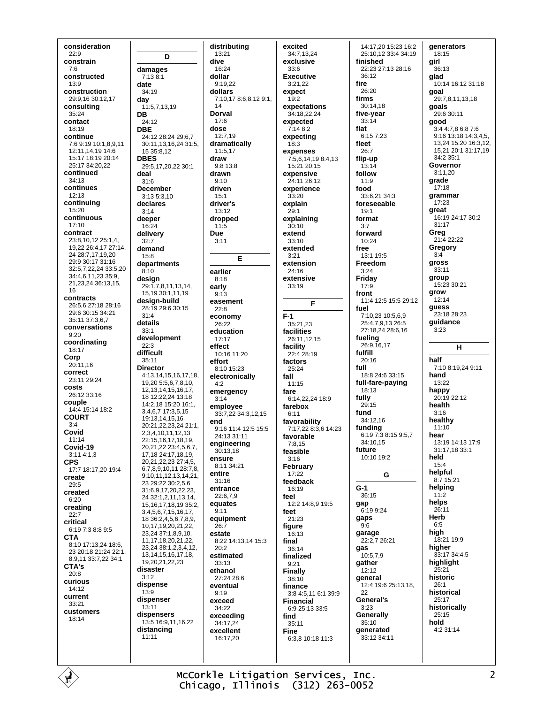consideration  $22:9$ constrain  $7.6$ constructed  $13.9$ construction 29:9,16 30:12,17 consultina  $35.24$ contact 18:19 continue 7:6 9:19 10:1,8,9,11 12:11 14 19 14:6 15:17 18:19 20:14 25:17 34:20 22 continued 34:13 continues  $12:13$ continuina 15:20 continuous  $17:10$ contract 23:8 10 12 25:1 4 19,22 26:4,17 27:14, 24 28:7.17.19.20 29:9 30:17 31:16 32:5,7,22,24 33:5,20 34:4,6,11,23 35:9, 21,23,24 36:13,15, 16 contracts 26:5,6 27:18 28:16 29:6 30:15 34:21 35:11 37:3.6.7 conversations  $9:20$ coordinating 18:17 Corp 20:11.16 correct 23:11.29:24 costs 26:12 33:16 couple 14:4 15:14 18:2 **COURT**  $3:4$ Covid  $11.14$ Covid-19  $3:114:1.3$ **CPS** 17:7 18:17,20 19:4 create  $29.5$ created  $6:20$ creating  $22:7$ critical 6:19 7:3 8:8 9:5 **CTA** 8:10 17:13,24 18:6, 23 20:18 21:24 22:1, 8,9,11 33:7,22 34:1 CTA's  $20.8$ curious 14:12 current  $33:21$ customers 18:14

D damages  $7:13\,8:1$ date 34:19 day 11:5,7,13,19 DB 24:12 **DBE** 24:12 28:24 29:67 30:11,13,16,24 31:5,  $15.35.812$ **DBES** 29:5,17,20,22 30:1 deal  $31:6$ **December**  $3:13.5:3.10$ declares  $3:14$ deeper  $16.24$ delivery  $32 - 7$ demand 15:8 departments  $8.10$ desian 29:1,7,8,11,13,14, 15,19 30:1,11,19 desian-build 28:19 29:6 30:15  $31.4$ details  $33.1$ development  $22:3$ difficult  $35.11$ **Director** 4:13,14,15,16,17,18, 19,20 5:5,6,7,8,10, 12, 13, 14, 15, 16, 17, 18 12:22,24 13:18 14:2.18 15:20 16:1. 3,4,6,7 17:3,5,15 19:13 14 15 16 20:21.22.23.24 21:1. 2 3 4 10 11 12 13 22:15.16.17.18.19. 20.21.22 23:4.5.6.7. 17,18 24:17,18,19, 20,21,22,23 27:4,5, 6,7,8,9,10,11 28:7,8, 9,10,11,12,13,14,21, 23 29:22 30:2,5,6 31:6,9,17,20,22,23, 24 32:1,2,11,13,14, 15, 16, 17, 18, 19 35:2, 3,4,5,6,7,15,16,17, 18 36:2,4,5,6,7,8,9, 10.17.19.20.21.22. 23,24 37:1,8,9,10, 11.17.18.20.21.22. 23 24 38 1 2 3 4 12 13.14,15,16,17,18, 19 20 21 22 23 disaster  $3:12$ dispense  $13:9$ dispenser  $13:11$ dispensers 13:5 16:9,11,16,22 distancing  $11.11$ 

distributing  $13:21$  $16.24$ dollar  $9.1922$ dollars 7:10,17 8:6,8,12 9:1, Dorval 12:7,19 dramatically  $11:5.17$  $9.813.8$ drawn driven driver's  $13:12$ dropped E earlier easement economy  $F-1$ 26:22 education  $17.17$ effect 10:16 11:20 8:10 15:23 electronically fall emergency employee 33:7.22 34:3.12.15 9:16 11:4 12:5 15:5 24:13 31:11 engineering  $30:13.18$ ensure 8:11 34:21 entire  $31:16$ entrance 22:6.7.9 equates equipment estate 8:22 14:13 14 15:3 estimated 33:13 ethanol 27:24 28:6 eventual exceed 34:22 exceeding  $34.1724$ excellent 16:17.20

dive

 $14$ 

 $17.6$ 

dose

draw

 $9.10$ 

 $15.1$ 

 $11:5$ 

 $3:11$ 

 $8:18$ 

 $9:13$ 

 $22.8$ 

effort

 $4.2$ 

 $3:14$ 

end

 $9:11$ 

26:7

 $20:2$ 

 $9.19$ 

early

**Due** 

excited 34:7,13,24 exclusive  $33.6$ **Executive** 3:21.22 expect  $19:2$ expectations  $34.182224$ expected 7:14 8:2 expecting  $18:3$ expenses 7:5,6,14,19 8:4,13  $15:21.20:15$ expensive 24:11 26:12 experience  $33.20$ explain  $29:1$ explaining  $30:10$ extend  $33.10$ extended  $3:21$ extension 24:16 extensive  $33:19$ E 35:21,23 facilities 26:11.12.15 facility  $22:428:19$ factors 25:24  $11.15$ fare 6:14.22.24 18:9 farebox  $6.11$ favorability 7:17,22 8:3,6 14:23 favorable  $7.815$ feasible  $3:16$ February  $17:22$ feedback  $16:19$ feel 12:2 14:8.9 19:5 feet 21:23 figure  $16.13$ final 36:14 finalized  $9:21$ **Finally** 38:10 finance 3:8 4:5.11 6:1 39:9 **Financial** 6:9 25:13 33:5 find  $35.11$ **Fine** 6:3.8 10:18 11:3

14:17.20 15:23 16:2 25:10,12 33:4 34:19 finished 22:23 27:13 28:16  $36.12$ fire  $26:20$ firms  $30:14.18$ five-year  $33.14$ flat 6:15 7:23 fleet  $26.7$ flip-up  $13:14$ follow  $11:9$ food  $33.621.34.3$ foreseeable  $19:1$ format  $3.7$ forward 10:24 free 13:1 19:5 Freedom  $3:24$ Friday  $17:9$ front 11:4 12:5 15:5 29:12 fuel  $7:10.2310:569$ 25:4,7,9,13 26:5 27:18,24 28:6,16 fueling  $26:9,16,17$ fulfill  $20.16$ full 18:8 24:6 33:15 full-fare-paying 18:13 fully  $29:15$ fund 34:12,16 funding  $6.1973815957$ 34:10.15 future 10:10 19:2 G  $G-1$ 36:15 qap 6:19 9:24 gaps  $9:6$ garage 22:2.7 26:21 gas  $10:579$ gather  $12.12$ general 12:4 19:6 25:13.18. 22 **General's**  $3:23$ Generally  $35:10$ denerated 33:12 34:11

generators  $18:15$ airl  $36.13$ glad 10:14 16:12 31:18 goal 29:7,8,11,13,18 goals 29:6.30:11 good 3:4 4:7,8 6:8 7:6 9:16 13:18 14:3,4,5, 13,24 15:20 16:3,12, 15,21 20:1 31:17,19 34:2 35:1 Governor  $3.1120$ grade  $17:18$ grammar 17:23 areat 16:19 24:17 30:2  $31.17$ Greg 21:4 22:22 Gregory  $3 - 4$ gross  $33:11$ group 15:23 30:21 grow  $12.14$ guess 23:18 28:23 guidance  $3:23$ н half 7:10 8:19.24 9:11 hand  $13:22$ happy  $20.1922.12$ health  $3:16$ healthy  $11:10$ hear 13:19 14:13 17:9  $31.17$  18  $33.1$ held  $15:4$ helpful  $8.715.21$ helping  $11:2$ helps  $26:11$ Herb  $6:5$ high 18:21 19:9 higher 33:17 34:4,5 highlight  $25:21$ historic  $26:1$ historical  $25.17$ historically  $25:15$ hold  $4.231.14$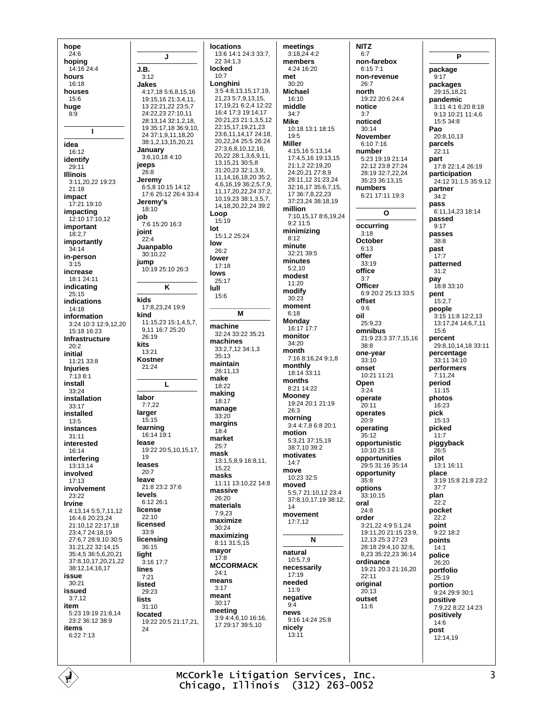hope  $24:6$ hopina  $14.16.244$ hours  $16.18$ houses 15:6 huge  $8.9$  $\mathbf{I}$ idea 16:12 identify 29:11 **Illinois**  $3:11.20.22$  19:23  $21.18$ impact 17:21 19:10 impacting  $12:10$  17:10.12 important  $18:2,7$ importantly  $34:14$ in-person  $3.15$ increase 18:1 24:11 indicating  $25:15$ indications  $14.18$ information 3:24 10:3 12:9,12,20 15:18 16:23 Infrastructure  $20.2$ initial 11:21 33:8 **Injuries**  $7:13.8:1$ install  $33.24$ installation 33:17 installed  $13:5$ instances  $31:11$ interested 16:14 interfering 13:13,14 involved  $17:13$ involvement 23:22 Irvine 4:13,14 5:5,7,11,12 16:4,6 20:23,24 21:10,12 22:17,18 23:4,7 24:18,19 27:6,7 28:9,10 30:5 31:21,22 32:14,15 35:4,5 36:5,6,20,21 37:8,10,17,20,21,22 38:12,14,16,17 issue  $30:21$ issued  $3:7.12$ item 5:23 19:19 21:8,14  $23:236:1238:9$ items 6:22 7:13

J J.B.  $3.12$ Jakes 4:17.18 5:6,8,15,16 19:15.16 21:3.4.11. 13 22:21 22 23:57 24:22.23 27:10.11 28:13.14 32:1.2.18 19 35:17 18 36:9 10 24 37:1 9 11 18 20 38:1,2,13,15,20,21 January  $3:6,10,184:10$ jeeps 26:8 Jeremy 6:5.8 10:15 14:12 17:6 25:12 26:4 33:4 Jeremy's  $18:10$ job 7:6 15:20 16:3 joint  $22:4$ Juanpablo  $30.1022$ jump 10:19 25:10 26:3 K kids 17:8,23,24 19:9 kind  $11:15.23$  15:1.4.5.7. 9 11 16 7 25 20 26:19 kits  $13:21$ **Kostner**  $21:24$ L labor  $7:7.22$ larger  $15:15$ learning 16:14 19:1 lease 19:22 20:5,10,15,17, 19 leases  $20:7$ leave 21:8 23:2 37:6 levels  $6.1226.1$ license  $22.10$ licensed  $33.0$ licensing 36:15 light  $\frac{3}{3:16}$  17:7 lines  $7:21$ listed 29:23 **lists**  $31:10$ located 19:22 20:5 21:17,21,  $24$ 

**locations** 13:6 14:1 24:3 33:7, 22 34:1.3 locked  $10:7$ Longhini 3:5 4:8,13,15,17,19, 21,23 5:7,9,13,15, 17, 19, 21 6: 2, 4 12: 22 16:4 17:3 19:14,17 20:21.23 21:1.3.5.12 22:15,17,19,21,23 23:6,11,14,17 24:18,  $20,22,24$  25:5 26:24 27:3,6,8,10,12,16, 20 22 28 1 3 6 9 11 13.15.21.30:5.8  $31.20.23.321.39$ 11.14.16.18.20 35:2. 461619362579 11, 17, 20, 22, 24 37: 2, 10 19 23 38:1 3 5 7 14.18.20.22.24 39:2 Loop 15:19 lot  $15:1.225:24$ low 26:2 lower  $17:18$ lows 25:17 lull  $15:6$ M machine 32:24 33:22 35:21 machines 33:2,7,12 34:1,3  $35.13$ maintain 26:11,13 make  $18.22$ making 18:17 manage  $33:20$ margins  $18:4$ market  $25:7$ mask 13:1.5.8.9.16:8.11 15.22 masks 11:11 13:10,22 14:8 massive 26:20 materials  $7.923$ maximize  $30:24$ maximizing 8:11 31:5.15 mayor  $17:8$ **MCCORMACK**  $24:1$ means  $3.17$ meant  $30:17$ meeting<br>3:9 4:4,6,10 16:16, 17 29 17 39 5 10

meetings  $3:18,244:2$ members  $4.2416.20$ met  $30.20$ **Michael** 16:10 middle  $34.7$ **Mike** 10:18 13:1 18:15  $19:5$ **Miller**  $4:15$  16 5:13 14 17:4,5,16 19:13,15  $21.1222.1920$ 24:20 21 27:8 9 28:11 12 31:23 24 32:16,17 35:6,7,15, 17 36 7 8 22 23 37:23.24 38:18.19 million 7:10,15,17 8:6,19,24  $9.211.5$ minimizing  $8.12$ minute 32:21 39:5 minutes  $5.210$ modest  $11:20$ modify  $30:23$ moment  $6.18$ Monday 16:17 17:7 monitor  $34:20$ month 7:16 8:16,24 9:1,8 monthly 18:14 33:11 months 8:21 14:22 **Mooney** 19:24 20:1 21:19  $26:3$ morning<br>3:4 4:7,8 6:8 20:1 motion 5:3,21 37:15,19 38:7.10 39:2 motivates  $14.7$ move  $10.23.32.5$ moved 5:5,7 21:10,12 23:4 37:8,10,17,19 38:12, 14 movement  $17.712$  $\mathbf{N}$ natural 10:5.7.9 necessarily  $17.19$ needed  $11.9$ negative  $9:4$ news 9:16 14:24 25:8 nicely  $13:11$ 

NIT<sub>7</sub>  $6:7$ non-farebox  $6.1571$ non-revenue  $26.7$ north 19:22 20:6 24:4 notice  $3.7$ noticed  $30:14$ **November** 6:10 7:16 number 5:23 19:19 21:14 22:12.23:8.27:24 28:19 32:7.22.24 35:23 36:13,15 numbers 6:21 17:11 19:3  $\mathbf{o}$ occurring  $3.18$ October  $6:13$ offer  $33:19$ office  $3.7$ Officer 6:9 20:2 25:13 33:5 offset  $9.6$ oil  $25.923$ omnibus 21:9 23:3 37:7,15,16  $38:8$ one-vear  $33.10$ onset 10:21 11:21 Open  $3.24$ operate 20:11 operates  $20:9$ operating  $35:12$ opportunistic 10:10 25:18 opportunities 29:5 31:16 35:14 opportunity  $35.8$ options 33:10,15 oral  $24.8$ order 3:21,22 4:9 5:1,24 19:11,20 21:15 23:9, 12, 13 25: 3 27: 23 28:18 29:4,10 32:6, 8,23 35:22,23 36:14 ordinance 19:21 20:3 21:16.20  $22.11$ original  $20:13$ outset  $11:6$ 

P package  $9:17$ packages 29:15,18,21 **pandemic** 3:11 4:1 6:20 8:18 9:13 10:21 11:4,6  $15:5.34:8$ Pao  $20.81013$ parcels  $22.11$ part 17:8 22:1,4 26:19 participation 24:12 31:1.5 35:9.12 partner  $34.2$ pass 6:11,14,23 18:14 passed  $9.17$ passes  $38.8$ past  $17:7$ natterned  $31.2$ pav 18:8 33:10 pent  $15:2.7$ people 3:15 11:8 12:2,13 13:17,24 14:6,7,11  $15.6$ percent 29:8,10,14,18 33:11 percentage  $33.1134.10$ performers  $7:11.24$ period  $11.15$ photos 16:23 **pick** 15:13 picked  $11:7$ piggyback  $26:5$ pilot 13:1 16:11 place 3:19 15:8 21:8 23:2  $37.7$ plan  $22:2$ pocket  $22.2$ point 9:22 18:2 points  $14:1$ police  $26:20$ portfolio 25:19 portion  $9.2429.930.1$ positive 7:9,22 8:22 14:23 positively 14:6 post 12:14,19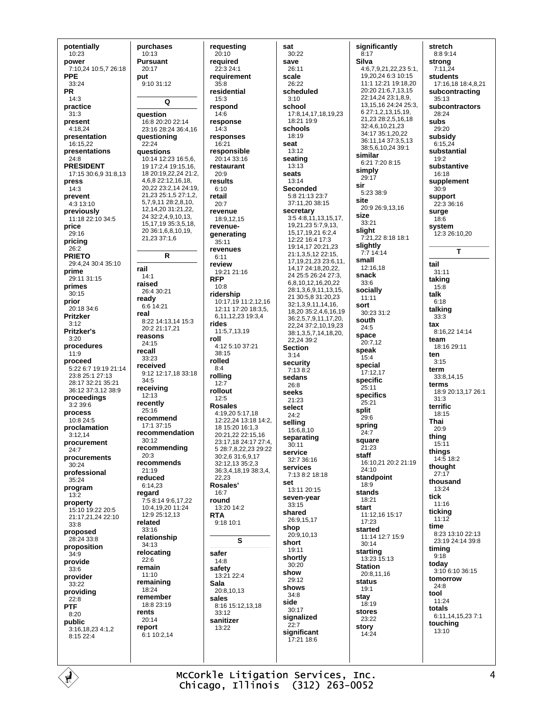potentially  $10:23$ power 7:10,24 10:5,7 26:18 **PPF**  $33.24$ **PR**  $14:3$ practice  $31:3$ present 4:18,24 presentation 16:15,22 presentations  $24:8$ **PRESIDENT** 17:15 30:6,9 31:8,13 press  $14:3$ prevent 4:3 13:10 previously 11:18 22:10 34:5 price  $29.16$ pricing 26:2 **PRIETO** 29:4.24 30:4 35:10 prime 29:11 31:15 primes  $30:15$ prior  $20:18.34:6$ Pritzker  $3:12$ **Pritzker's**  $3.20$ procedures  $11:9$ proceed 5:22 6:7 19:19 21:14 23:8 25:1 27:13 28:17 32:21 35:21 36:12 37:3.12 38:9 proceedinas  $3.2396$ process 10:8 24:5 proclamation  $3.1214$ procurement  $24:7$ procurements 30:24 professional  $35.24$ program  $13:2$ property 15:10 19:22 20:5 21:17.21.24 22:10  $33.8$ proposed 28:24 33:8 proposition 34:9 provide  $33.6$ provider 33:22 providing  $22:8$ **PTF**  $8.20$ public 3:16,18,23 4:1,2  $8:15$  22:4

purchases  $10:13$ **Pursuant**  $20:17$ put 9:10 31:12  $\overline{Q}$ question 16:8 20:20 22:14 23:16 28:24 36:4,16 questioning  $22:24$ **auestions** 10:14 12:23 16:5.6. 19 17:2,4 19:15,16, 18 20:19,22,24 21:2, 4,6,8 22:12,16,18, 20,22 23:2,14 24:19, 21,23 25:1,5 27:1,2, 5,7,9,11 28:2,8,10, 12,14,20 31:21,22, 24 32:2,4,9,10,13, 15.17.19 35:3.5.18. 20 36:1,6,8,10,19, 21,23 37:1,6 R rail  $14:1$ raised 26:4 30:21 readv 6:6 14:21 real 8:22 14:13,14 15:3 20:2 21:17,21 reasons 24:15 recall 33:23 received 9:12 12:17,18 33:18  $34:5$ receiving 12:13 recently 25:16 recommend 17:1 37:15 recommendation  $30.12$ recommending 20:3 recommends  $21.19$ reduced 6:14.23 regard 7:5 8:14 9:6,17,22 10:4,19,20 11:24 12:9 25:12,13 related  $33.16$ relationship  $34:13$ relocating  $22.6$ remain  $11:10$ remaining  $18.24$ remember  $18.823.19$ rents  $20.14$ report  $6:110:2.14$ 

requesting  $20:10$ reauired  $22.324.1$ requirement  $35.8$ residential 15:3 respond  $14.6$ response  $14:3$ responses  $16:21$ responsible 20:14 33:16 restaurant 20:9 results  $6:10$ retail  $20.7$ revenue 18:9.12.15 revenuegenerating 35:11 revenues  $6:11$ review  $19.212116$ **RFP**  $10:8$ ridershin 10:17.19 11:2 12 16 12:11 17:20 18:3.5. 6,11,12,23 19:3,4 rides  $11:571319$ roll 4:12 5:10 37:21  $38.15$ rolled  $8:4$ rolling  $12:7$ rollout  $12:5$ **Rosales** 4:19.20 5:17.18 12:22,24 13:18 14:2, 18 15:20 16:1.3 20:21.22 22:15.16 23:17,18 24:17 27:4,  $5.28.78.22.23.29.22$  $30.26316917$ 32:12.13 35:2.3 36:3.4.18.19 38:3.4.  $22.23$ Rosales'  $16:7$ round  $13:20$   $14:2$ **RTA** 9:18 10:1 S safer  $14.8$ safety 13:21 22:4 Sala 20:8,10,13 sales 8:16 15:12,13,18  $33:12$ sanitizer  $13.22$ 

sat 30:22 save  $26:11$ scale  $26.22$ scheduled  $3:10$ school 17:8,14,17,18,19,23  $18.2119.9$ schools 18:19 seat  $13.12$ seating  $13:13$ seats 13:14 **Seconded** 5:8 21:13 23:7 37:11.20 38:15 secretary 3:5 4:8,11,13,15,17, 19,21,23 5:7,9,13, 15, 17, 19, 21 6: 2, 4 12:22 16:4 17:3 19:14,17 20:21,23 21:1,3,5,12 22:15, 17.19.21.23 23:6.11. 14 17 24 18 20 22 24 25:5 26:24 27:3 681012162022 28:1369111315 21 30:5.8 31:20.23 32:1,3,9,11,14,16, 18,20 35:2,4,6,16,19 36:2,5,7,9,11,17,20, 22,24 37:2,10,19,23 38:1,3,5,7,14,18,20,  $22.24.39.2$ **Section**  $3.14$ security  $7.138.2$ sedans  $26.8$ seeks  $21.23$ select  $24:2$ **selling**<br>15:6,8,10 separating  $30.11$ service 32:7 36:16 services 7:13 8:2 18:18 set  $13:11.20.15$ seven-year 33:15 shared 26:9.15.17 shop 20:9,10,13 short 19:11 shortly  $30:20$ show  $29.12$ shows  $34.8$ side  $30:17$ signalized  $22:7$ significant  $17.21186$ 

significantly  $8:17$ Silva 4:6,7,9,21,22,23 5:1, 19.20.24 6:3 10:15  $11.1$  12.21 19.18 20  $20:20.21:6.71315$ 22:14,24 23:1,8,9, 13, 15, 16 24: 24 25: 3, 6 27:1.2.13.15.19. 21,23 28:2,5,16,18 32:4,6,10,21,23 34:17 35:1,20,22 36:11,14 37:3,5,13 38:5,6,10,24 39:1 similar 6:21 7:20 8:15 simply 29:17 sir 5:23 38:9 site 20:9.26:9.13.16 size  $33:21$ slight 7:21.22 8:18 18:1 slightly<br> $7.714.14$ small  $12.1618$ snack  $33.6$ socially  $11:11$ sort 30:23 31:2 south  $24:5$ space  $20:7,12$ speak  $15.4$ special 17:12.17 specific 25:11 specifics  $25.21$ split 29:6 spring  $24:7$ square 21:23 staff 16:10,21 20:2 21:19  $24.10$ standpoint  $18.9$ stands 18:21 start 11:12,16 15:17  $17.23$ started 11:14 12:7 15:9  $30.14$ starting 13:23 15:13 **Station**  $20.81116$ status  $19:1$ stay  $18:19$ stores 23:22 story  $14.24$ 

stretch  $8:89:14$ strona  $7:11,24$ students 17:16,18 18:4,8,21 subcontracting  $35:13$ subcontractors  $28.24$ subs 29:20 subsidy  $6:15.24$ substantial  $19:2$ substantive 16:18 supplement  $30.9$ support 22:3 36:16 surge  $18:6$ system 12:3 26:10.20 T tail  $31:11$ taking  $15:8$ talk  $6.18$ talking  $33:3$ tax  $8:16.22$  14:14 team 18:16 29:11 ten  $3:15$ term 33:8,14,15 terms 18:9 20:13,17 26:1  $31:3$ terrific  $18.15$ Thai  $20:9$ thing  $15:11$ things  $14:518:2$ thought  $27:17$ thousand  $13:24$ tick  $11:16$ ticking  $11:12$ time 8:23 13:10 22:13 23:19 24:14 39:8 timing  $9:18$ today 3:10 6:10 36:15 tomorrow  $24.8$ tool  $11.24$ totals 6:11 14 15 23 7:1 touching 13:10